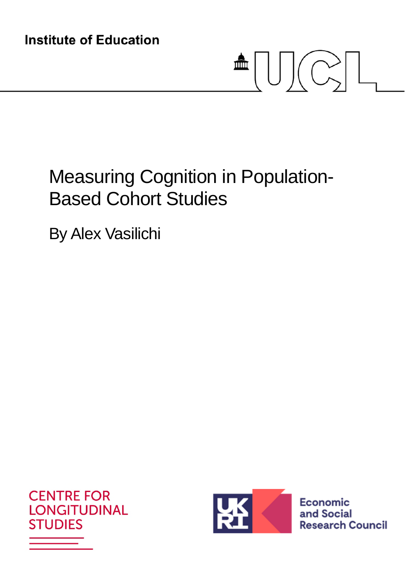**Institute of Education** 

# $\triangleq \bigcup \bigcup \bigl(\bigcirc\limits_{\gt}\bigl|\bigsqcup$

# Measuring Cognition in Population-Based Cohort Studies

By Alex Vasilichi





Economic and Social **Research Council**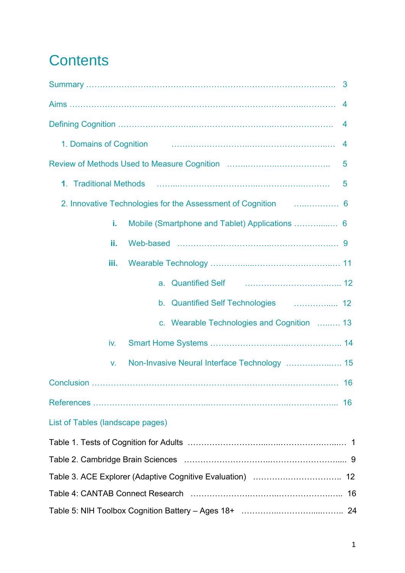# **Contents**

|                                  |                                                                                                                   | 3  |
|----------------------------------|-------------------------------------------------------------------------------------------------------------------|----|
|                                  |                                                                                                                   | 4  |
|                                  |                                                                                                                   | 4  |
| 1. Domains of Cognition          |                                                                                                                   | 4  |
|                                  |                                                                                                                   | 5  |
|                                  | 1. Traditional Methods (and according terms) and according terms of the Traditional Methods (and according terms) | 5  |
|                                  | 2. Innovative Technologies for the Assessment of Cognition <b>Community</b> 6                                     |    |
| i.                               | Mobile (Smartphone and Tablet) Applications  6                                                                    |    |
| ii.                              |                                                                                                                   |    |
| iii.                             |                                                                                                                   |    |
|                                  | a.                                                                                                                |    |
|                                  | b. Quantified Self Technologies  12                                                                               |    |
|                                  | c. Wearable Technologies and Cognition  13                                                                        |    |
| iv.                              |                                                                                                                   |    |
| V.                               |                                                                                                                   |    |
|                                  |                                                                                                                   | 16 |
|                                  |                                                                                                                   |    |
| List of Tables (landscape pages) |                                                                                                                   |    |
|                                  |                                                                                                                   |    |
|                                  |                                                                                                                   |    |
|                                  |                                                                                                                   |    |
|                                  |                                                                                                                   |    |
|                                  |                                                                                                                   |    |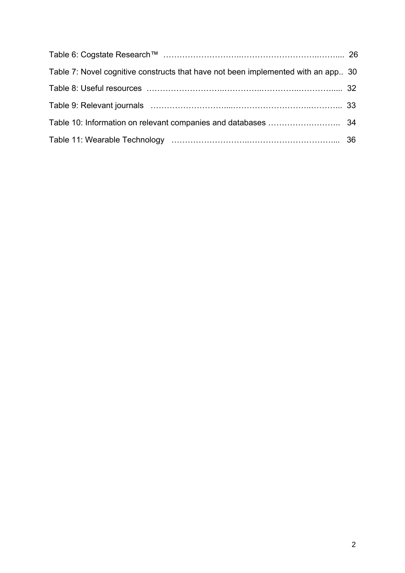| Table 7: Novel cognitive constructs that have not been implemented with an app. 30 |  |
|------------------------------------------------------------------------------------|--|
|                                                                                    |  |
|                                                                                    |  |
|                                                                                    |  |
|                                                                                    |  |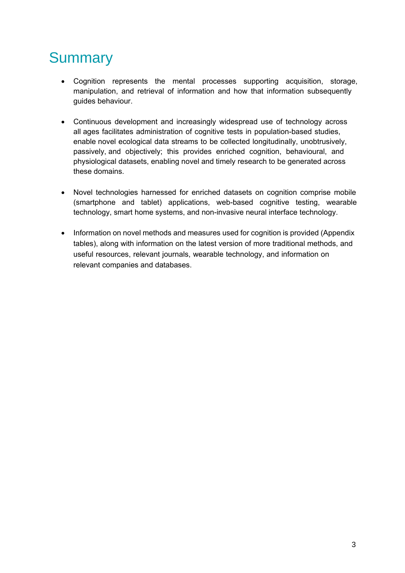# **Summary**

- Cognition represents the mental processes supporting acquisition, storage, manipulation, and retrieval of information and how that information subsequently guides behaviour.
- Continuous development and increasingly widespread use of technology across all ages facilitates administration of cognitive tests in population-based studies, enable novel ecological data streams to be collected longitudinally, unobtrusively, passively, and objectively; this provides enriched cognition, behavioural, and physiological datasets, enabling novel and timely research to be generated across these domains.
- Novel technologies harnessed for enriched datasets on cognition comprise mobile (smartphone and tablet) applications, web-based cognitive testing, wearable technology, smart home systems, and non-invasive neural interface technology.
- Information on novel methods and measures used for cognition is provided (Appendix tables), along with information on the latest version of more traditional methods, and useful resources, relevant journals, wearable technology, and information on relevant companies and databases.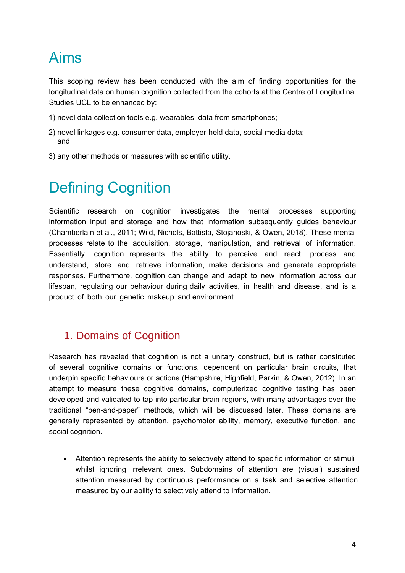# Aims

This scoping review has been conducted with the aim of finding opportunities for the longitudinal data on human cognition collected from the cohorts at the Centre of Longitudinal Studies UCL to be enhanced by:

- 1) novel data collection tools e.g. wearables, data from smartphones;
- 2) novel linkages e.g. consumer data, employer-held data, social media data; and
- 3) any other methods or measures with scientific utility.

# Defining Cognition

Scientific research on cognition investigates the mental processes supporting information input and storage and how that information subsequently guides behaviour (Chamberlain et al., 2011; Wild, Nichols, Battista, Stojanoski, & Owen, 2018). These mental processes relate to the acquisition, storage, manipulation, and retrieval of information. Essentially, cognition represents the ability to perceive and react, process and understand, store and retrieve information, make decisions and generate appropriate responses. Furthermore, cognition can change and adapt to new information across our lifespan, regulating our behaviour during daily activities, in health and disease, and is a product of both our genetic makeup and environment.

## 1. Domains of Cognition

Research has revealed that cognition is not a unitary construct, but is rather constituted of several cognitive domains or functions, dependent on particular brain circuits, that underpin specific behaviours or actions (Hampshire, Highfield, Parkin, & Owen, 2012). In an attempt to measure these cognitive domains, computerized cognitive testing has been developed and validated to tap into particular brain regions, with many advantages over the traditional "pen-and-paper" methods, which will be discussed later. These domains are generally represented by attention, psychomotor ability, memory, executive function, and social cognition.

• Attention represents the ability to selectively attend to specific information or stimuli whilst ignoring irrelevant ones. Subdomains of attention are (visual) sustained attention measured by continuous performance on a task and selective attention measured by our ability to selectively attend to information.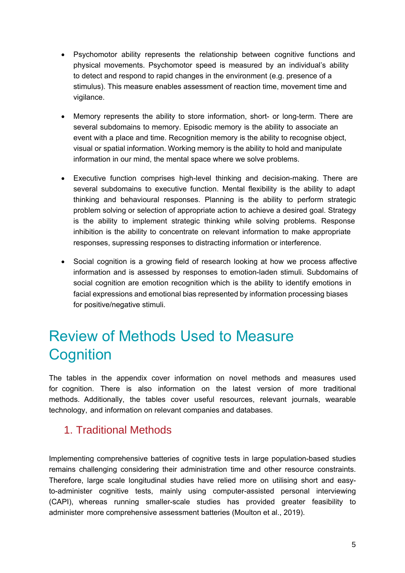- Psychomotor ability represents the relationship between cognitive functions and physical movements. Psychomotor speed is measured by an individual's ability to detect and respond to rapid changes in the environment (e.g. presence of a stimulus). This measure enables assessment of reaction time, movement time and vigilance.
- Memory represents the ability to store information, short- or long-term. There are several subdomains to memory. Episodic memory is the ability to associate an event with a place and time. Recognition memory is the ability to recognise object, visual or spatial information. Working memory is the ability to hold and manipulate information in our mind, the mental space where we solve problems.
- Executive function comprises high-level thinking and decision-making. There are several subdomains to executive function. Mental flexibility is the ability to adapt thinking and behavioural responses. Planning is the ability to perform strategic problem solving or selection of appropriate action to achieve a desired goal. Strategy is the ability to implement strategic thinking while solving problems. Response inhibition is the ability to concentrate on relevant information to make appropriate responses, supressing responses to distracting information or interference.
- Social cognition is a growing field of research looking at how we process affective information and is assessed by responses to emotion-laden stimuli. Subdomains of social cognition are emotion recognition which is the ability to identify emotions in facial expressions and emotional bias represented by information processing biases for positive/negative stimuli.

# Review of Methods Used to Measure **Cognition**

The tables in the appendix cover information on novel methods and measures used for cognition. There is also information on the latest version of more traditional methods. Additionally, the tables cover useful resources, relevant journals, wearable technology, and information on relevant companies and databases.

## 1. Traditional Methods

Implementing comprehensive batteries of cognitive tests in large population-based studies remains challenging considering their administration time and other resource constraints. Therefore, large scale longitudinal studies have relied more on utilising short and easyto-administer cognitive tests, mainly using computer-assisted personal interviewing (CAPI), whereas running smaller-scale studies has provided greater feasibility to administer more comprehensive assessment batteries (Moulton et al., 2019).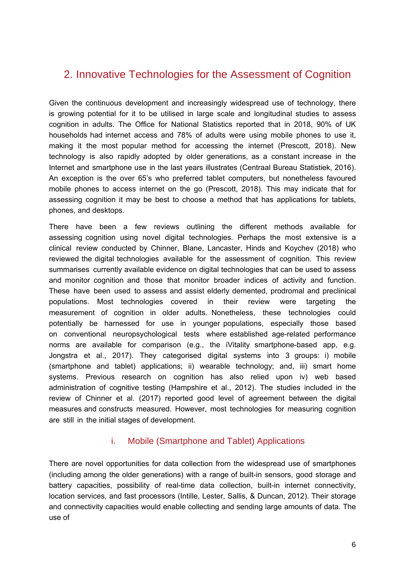## 2. Innovative Technologies for the Assessment of Cognition

Given the continuous development and increasingly widespread use of technology, there is growing potential for it to be utilised in large scale and longitudinal studies to assess cognition in adults. The Office for National Statistics reported that in 2018, 90% of UK households had internet access and 78% of adults were using mobile phones to use it, making it the most popular method for accessing the internet (Prescott, 2018). New technology is also rapidly adopted by older generations, as a constant increase in the Internet and smartphone use in the last years illustrates (Centraal Bureau Statistiek, 2016). An exception is the over 65's who preferred tablet computers, but nonetheless favoured mobile phones to access internet on the go (Prescott, 2018). This may indicate that for assessing cognition it may be best to choose a method that has applications for tablets, phones, and desktops.

There have been a few reviews outlining the different methods available for assessing cognition using novel digital technologies. Perhaps the most extensive is a clinical review conducted by Chinner, Blane, Lancaster, Hinds and Koychev (2018) who reviewed the digital technologies available for the assessment of cognition. This review summarises currently available evidence on digital technologies that can be used to assess and monitor cognition and those that monitor broader indices of activity and function. These have been used to assess and assist elderly demented, prodromal and preclinical populations. Most technologies covered in their review were targeting the measurement of cognition in older adults. Nonetheless, these technologies could potentially be harnessed for use in younger populations, especially those based on conventional neuropsychological tests where established age-related performance norms are available for comparison (e.g., the iVitality smartphone-based app, e.g. Jongstra et al., 2017). They categorised digital systems into 3 groups: i) mobile (smartphone and tablet) applications; ii) wearable technology; and, iii) smart home systems. Previous research on cognition has also relied upon iv) web based administration of cognitive testing (Hampshire et al., 2012). The studies included in the review of Chinner et al. (2017) reported good level of agreement between the digital measures and constructs measured. However, most technologies for measuring cognition are still in the initial stages of development.

#### i. Mobile (Smartphone and Tablet) Applications

There are novel opportunities for data collection from the widespread use of smartphones (including among the older generations) with a range of built-in sensors, good storage and battery capacities, possibility of real-time data collection, built-in internet connectivity, location services, and fast processors (Intille, Lester, Sallis, & Duncan, 2012). Their storage and connectivity capacities would enable collecting and sending large amounts of data. The use of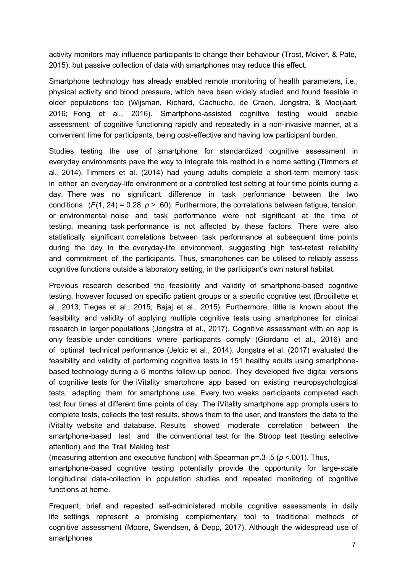activity monitors may influence participants to change their behaviour (Trost, Mciver, & Pate, 2015), but passive collection of data with smartphones may reduce this effect.

Smartphone technology has already enabled remote monitoring of health parameters, i.e., physical activity and blood pressure, which have been widely studied and found feasible in older populations too (Wijsman, Richard, Cachucho, de Craen, Jongstra, & Mooijaart, 2016; Fong et al., 2016). Smartphone-assisted cognitive testing would enable assessment of cognitive functioning rapidly and repeatedly in a non-invasive manner, at a convenient time for participants, being cost-effective and having low participant burden.

Studies testing the use of smartphone for standardized cognitive assessment in everyday environments pave the way to integrate this method in a home setting (Timmers et al., 2014). Timmers et al. (2014) had young adults complete a short-term memory task in either an everyday-life environment or a controlled test setting at four time points during a day. There was no significant difference in task performance between the two conditions  $(F(1, 24) = 0.28, p > .60)$ . Furthermore, the correlations between fatigue, tension, or environmental noise and task performance were not significant at the time of testing, meaning task performance is not affected by these factors. There were also statistically significant correlations between task performance at subsequent time points during the day in the everyday-life environment, suggesting high test-retest reliability and commitment of the participants. Thus, smartphones can be utilised to reliably assess cognitive functions outside a laboratory setting, in the participant's own natural habitat.

Previous research described the feasibility and validity of smartphone-based cognitive testing, however focused on specific patient groups or a specific cognitive test (Brouillette et al., 2013; Tieges et al., 2015; Bajaj et al., 2015). Furthermore, little is known about the feasibility and validity of applying multiple cognitive tests using smartphones for clinical research in larger populations (Jongstra et al., 2017). Cognitive assessment with an app is only feasible under conditions where participants comply (Giordano et al., 2016) and of optimal technical performance (Jelcic et al., 2014). Jongstra et al. (2017) evaluated the feasibility and validity of performing cognitive tests in 151 healthy adults using smartphonebased technology during a 6 months follow-up period. They developed five digital versions of cognitive tests for the iVitality smartphone app based on existing neuropsychological tests, adapting them for smartphone use. Every two weeks participants completed each test four times at different time points of day. The iVitality smartphone app prompts users to complete tests, collects the test results, shows them to the user, and transfers the data to the iVitality website and database. Results showed moderate correlation between the smartphone-based test and the conventional test for the Stroop test (testing selective attention) and the Trail Making test

(measuring attention and executive function) with Spearman ρ=.3-.5 (*p* <.001). Thus,

smartphone-based cognitive testing potentially provide the opportunity for large-scale longitudinal data-collection in population studies and repeated monitoring of cognitive functions at home.

Frequent, brief and repeated self-administered mobile cognitive assessments in daily life settings represent a promising complementary tool to traditional methods of cognitive assessment (Moore, Swendsen, & Depp, 2017). Although the widespread use of smartphones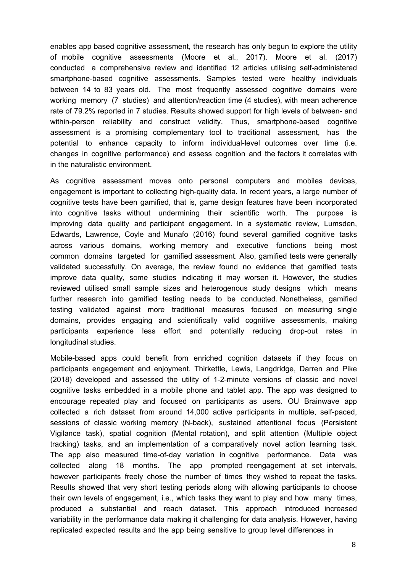enables app based cognitive assessment, the research has only begun to explore the utility of mobile cognitive assessments (Moore et al., 2017). Moore et al. (2017) conducted a comprehensive review and identified 12 articles utilising self-administered smartphone-based cognitive assessments. Samples tested were healthy individuals between 14 to 83 years old. The most frequently assessed cognitive domains were working memory (7 studies) and attention/reaction time (4 studies), with mean adherence rate of 79.2% reported in 7 studies. Results showed support for high levels of between- and within-person reliability and construct validity. Thus, smartphone-based cognitive assessment is a promising complementary tool to traditional assessment, has the potential to enhance capacity to inform individual-level outcomes over time (i.e. changes in cognitive performance) and assess cognition and the factors it correlates with in the naturalistic environment.

As cognitive assessment moves onto personal computers and mobiles devices, engagement is important to collecting high-quality data. In recent years, a large number of cognitive tests have been gamified, that is, game design features have been incorporated into cognitive tasks without undermining their scientific worth. The purpose is improving data quality and participant engagement. In a systematic review, Lumsden, Edwards, Lawrence, Coyle and Munafo (2016) found several gamified cognitive tasks across various domains, working memory and executive functions being most common domains targeted for gamified assessment. Also, gamified tests were generally validated successfully. On average, the review found no evidence that gamified tests improve data quality, some studies indicating it may worsen it. However, the studies reviewed utilised small sample sizes and heterogenous study designs which means further research into gamified testing needs to be conducted. Nonetheless, gamified testing validated against more traditional measures focused on measuring single domains, provides engaging and scientifically valid cognitive assessments, making participants experience less effort and potentially reducing drop-out rates in longitudinal studies.

Mobile-based apps could benefit from enriched cognition datasets if they focus on participants engagement and enjoyment. Thirkettle, Lewis, Langdridge, Darren and Pike (2018) developed and assessed the utility of 1-2-minute versions of classic and novel cognitive tasks embedded in a mobile phone and tablet app. The app was designed to encourage repeated play and focused on participants as users. OU Brainwave app collected a rich dataset from around 14,000 active participants in multiple, self-paced, sessions of classic working memory (N-back), sustained attentional focus (Persistent Vigilance task), spatial cognition (Mental rotation), and split attention (Multiple object tracking) tasks, and an implementation of a comparatively novel action learning task. The app also measured time-of-day variation in cognitive performance. Data was collected along 18 months. The app prompted reengagement at set intervals, however participants freely chose the number of times they wished to repeat the tasks. Results showed that very short testing periods along with allowing participants to choose their own levels of engagement, i.e., which tasks they want to play and how many times, produced a substantial and reach dataset. This approach introduced increased variability in the performance data making it challenging for data analysis. However, having replicated expected results and the app being sensitive to group level differences in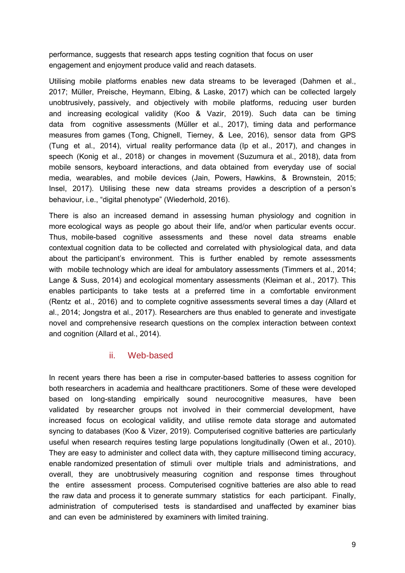performance, suggests that research apps testing cognition that focus on user engagement and enjoyment produce valid and reach datasets.

Utilising mobile platforms enables new data streams to be leveraged (Dahmen et al., 2017; Müller, Preische, Heymann, Elbing, & Laske, 2017) which can be collected largely unobtrusively, passively, and objectively with mobile platforms, reducing user burden and increasing ecological validity (Koo & Vazir, 2019). Such data can be timing data from cognitive assessments (Müller et al., 2017), timing data and performance measures from games (Tong, Chignell, Tierney, & Lee, 2016), sensor data from GPS (Tung et al., 2014), virtual reality performance data (Ip et al., 2017), and changes in speech (Konig et al., 2018) or changes in movement (Suzumura et al., 2018), data from mobile sensors, keyboard interactions, and data obtained from everyday use of social media, wearables, and mobile devices (Jain, Powers, Hawkins, & Brownstein, 2015; Insel, 2017). Utilising these new data streams provides a description of a person's behaviour, i.e., "digital phenotype" (Wiederhold, 2016).

There is also an increased demand in assessing human physiology and cognition in more ecological ways as people go about their life, and/or when particular events occur. Thus, mobile-based cognitive assessments and these novel data streams enable contextual cognition data to be collected and correlated with physiological data, and data about the participant's environment. This is further enabled by remote assessments with mobile technology which are ideal for ambulatory assessments (Timmers et al., 2014; Lange & Suss, 2014) and ecological momentary assessments (Kleiman et al., 2017). This enables participants to take tests at a preferred time in a comfortable environment (Rentz et al., 2016) and to complete cognitive assessments several times a day (Allard et al., 2014; Jongstra et al., 2017). Researchers are thus enabled to generate and investigate novel and comprehensive research questions on the complex interaction between context and cognition (Allard et al., 2014).

#### ii. Web-based

In recent years there has been a rise in computer-based batteries to assess cognition for both researchers in academia and healthcare practitioners. Some of these were developed based on long-standing empirically sound neurocognitive measures, have been validated by researcher groups not involved in their commercial development, have increased focus on ecological validity, and utilise remote data storage and automated syncing to databases (Koo & Vizer, 2019). Computerised cognitive batteries are particularly useful when research requires testing large populations longitudinally (Owen et al., 2010). They are easy to administer and collect data with, they capture millisecond timing accuracy, enable randomized presentation of stimuli over multiple trials and administrations, and overall, they are unobtrusively measuring cognition and response times throughout the entire assessment process. Computerised cognitive batteries are also able to read the raw data and process it to generate summary statistics for each participant. Finally, administration of computerised tests is standardised and unaffected by examiner bias and can even be administered by examiners with limited training.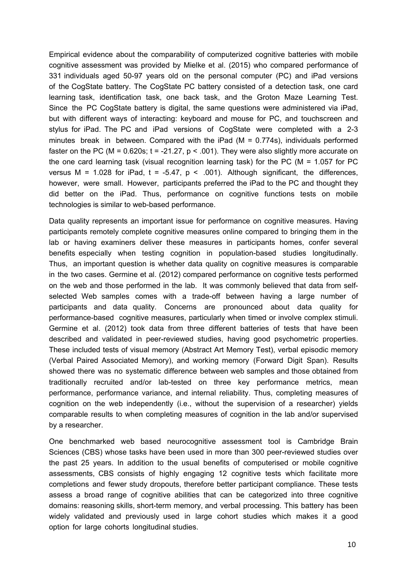Empirical evidence about the comparability of computerized cognitive batteries with mobile cognitive assessment was provided by Mielke et al. (2015) who compared performance of 331 individuals aged 50-97 years old on the personal computer (PC) and iPad versions of the CogState battery. The CogState PC battery consisted of a detection task, one card learning task, identification task, one back task, and the Groton Maze Learning Test. Since the PC CogState battery is digital, the same questions were administered via iPad, but with different ways of interacting: keyboard and mouse for PC, and touchscreen and stylus for iPad. The PC and iPad versions of CogState were completed with a 2-3 minutes break in between. Compared with the iPad  $(M = 0.774s)$ , individuals performed faster on the PC (M =  $0.620$ s; t =  $-21.27$ , p < .001). They were also slightly more accurate on the one card learning task (visual recognition learning task) for the PC (M = 1.057 for PC versus M = 1.028 for iPad,  $t = -5.47$ ,  $p < .001$ ). Although significant, the differences, however, were small. However, participants preferred the iPad to the PC and thought they did better on the iPad. Thus, performance on cognitive functions tests on mobile technologies is similar to web-based performance.

Data quality represents an important issue for performance on cognitive measures. Having participants remotely complete cognitive measures online compared to bringing them in the lab or having examiners deliver these measures in participants homes, confer several benefits especially when testing cognition in population-based studies longitudinally. Thus, an important question is whether data quality on cognitive measures is comparable in the two cases. Germine et al. (2012) compared performance on cognitive tests performed on the web and those performed in the lab. It was commonly believed that data from selfselected Web samples comes with a trade-off between having a large number of participants and data quality. Concerns are pronounced about data quality for performance-based cognitive measures, particularly when timed or involve complex stimuli. Germine et al. (2012) took data from three different batteries of tests that have been described and validated in peer-reviewed studies, having good psychometric properties. These included tests of visual memory (Abstract Art Memory Test), verbal episodic memory (Verbal Paired Associated Memory), and working memory (Forward Digit Span). Results showed there was no systematic difference between web samples and those obtained from traditionally recruited and/or lab-tested on three key performance metrics, mean performance, performance variance, and internal reliability. Thus, completing measures of cognition on the web independently (i.e., without the supervision of a researcher) yields comparable results to when completing measures of cognition in the lab and/or supervised by a researcher.

One benchmarked web based neurocognitive assessment tool is Cambridge Brain Sciences (CBS) whose tasks have been used in more than 300 peer-reviewed studies over the past 25 years. In addition to the usual benefits of computerised or mobile cognitive assessments, CBS consists of highly engaging 12 cognitive tests which facilitate more completions and fewer study dropouts, therefore better participant compliance. These tests assess a broad range of cognitive abilities that can be categorized into three cognitive domains: reasoning skills, short-term memory, and verbal processing. This battery has been widely validated and previously used in large cohort studies which makes it a good option for large cohorts longitudinal studies.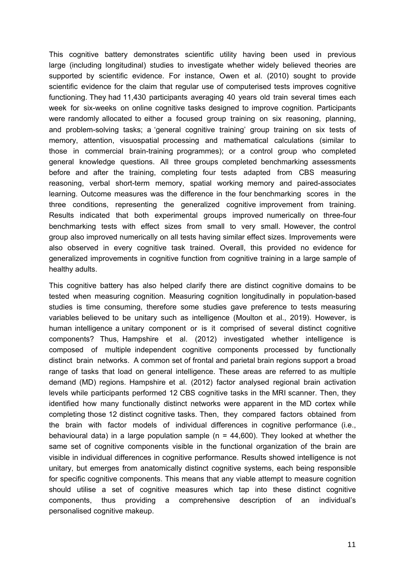This cognitive battery demonstrates scientific utility having been used in previous large (including longitudinal) studies to investigate whether widely believed theories are supported by scientific evidence. For instance, Owen et al. (2010) sought to provide scientific evidence for the claim that regular use of computerised tests improves cognitive functioning. They had 11,430 participants averaging 40 years old train several times each week for six-weeks on online cognitive tasks designed to improve cognition. Participants were randomly allocated to either a focused group training on six reasoning, planning, and problem-solving tasks; a 'general cognitive training' group training on six tests of memory, attention, visuospatial processing and mathematical calculations (similar to those in commercial brain-training programmes); or a control group who completed general knowledge questions. All three groups completed benchmarking assessments before and after the training, completing four tests adapted from CBS measuring reasoning, verbal short-term memory, spatial working memory and paired-associates learning. Outcome measures was the difference in the four benchmarking scores in the three conditions, representing the generalized cognitive improvement from training. Results indicated that both experimental groups improved numerically on three-four benchmarking tests with effect sizes from small to very small. However, the control group also improved numerically on all tests having similar effect sizes. Improvements were also observed in every cognitive task trained. Overall, this provided no evidence for generalized improvements in cognitive function from cognitive training in a large sample of healthy adults.

This cognitive battery has also helped clarify there are distinct cognitive domains to be tested when measuring cognition. Measuring cognition longitudinally in population-based studies is time consuming, therefore some studies gave preference to tests measuring variables believed to be unitary such as intelligence (Moulton et al., 2019). However, is human intelligence a unitary component or is it comprised of several distinct cognitive components? Thus, Hampshire et al. (2012) investigated whether intelligence is composed of multiple independent cognitive components processed by functionally distinct brain networks. A common set of frontal and parietal brain regions support a broad range of tasks that load on general intelligence. These areas are referred to as multiple demand (MD) regions. Hampshire et al. (2012) factor analysed regional brain activation levels while participants performed 12 CBS cognitive tasks in the MRI scanner. Then, they identified how many functionally distinct networks were apparent in the MD cortex while completing those 12 distinct cognitive tasks. Then, they compared factors obtained from the brain with factor models of individual differences in cognitive performance (i.e., behavioural data) in a large population sample ( $n = 44,600$ ). They looked at whether the same set of cognitive components visible in the functional organization of the brain are visible in individual differences in cognitive performance. Results showed intelligence is not unitary, but emerges from anatomically distinct cognitive systems, each being responsible for specific cognitive components. This means that any viable attempt to measure cognition should utilise a set of cognitive measures which tap into these distinct cognitive components, thus providing a comprehensive description of an individual's personalised cognitive makeup.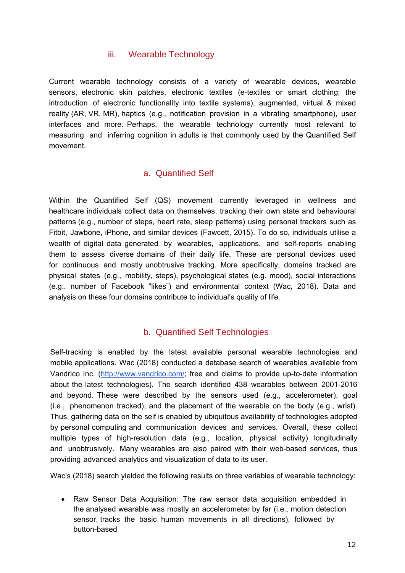#### iii. Wearable Technology

Current wearable technology consists of a variety of wearable devices, wearable sensors, electronic skin patches, electronic textiles (e-textiles or smart clothing; the introduction of electronic functionality into textile systems), augmented, virtual & mixed reality (AR, VR, MR), haptics (e.g., notification provision in a vibrating smartphone), user interfaces and more. Perhaps, the wearable technology currently most relevant to measuring and inferring cognition in adults is that commonly used by the Quantified Self movement.

#### a. Quantified Self

Within the Quantified Self (QS) movement currently leveraged in wellness and healthcare individuals collect data on themselves, tracking their own state and behavioural patterns (e.g., number of steps, heart rate, sleep patterns) using personal trackers such as Fitbit, Jawbone, iPhone, and similar devices (Fawcett, 2015). To do so, individuals utilise a wealth of digital data generated by wearables, applications, and self-reports enabling them to assess diverse domains of their daily life. These are personal devices used for continuous and mostly unobtrusive tracking. More specifically, domains tracked are physical states (e.g., mobility, steps), psychological states (e.g. mood), social interactions (e.g., number of Facebook "likes") and environmental context (Wac, 2018). Data and analysis on these four domains contribute to individual's quality of life.

#### b. Quantified Self Technologies

Self-tracking is enabled by the latest available personal wearable technologies and mobile applications. Wac (2018) conducted a database search of wearables available from Vandrico Inc. (http://www.vandrico.com/; free and claims to provide up-to-date information about the latest technologies). The search identified 438 wearables between 2001-2016 and beyond. These were described by the sensors used (e.g., accelerometer), goal (i.e., phenomenon tracked), and the placement of the wearable on the body (e.g., wrist). Thus, gathering data on the self is enabled by ubiquitous availability of technologies adopted by personal computing and communication devices and services. Overall, these collect multiple types of high-resolution data (e.g., location, physical activity) longitudinally and unobtrusively. Many wearables are also paired with their web-based services, thus providing advanced analytics and visualization of data to its user.

Wac's (2018) search yielded the following results on three variables of wearable technology:

• Raw Sensor Data Acquisition: The raw sensor data acquisition embedded in the analysed wearable was mostly an accelerometer by far (i.e., motion detection sensor, tracks the basic human movements in all directions), followed by button-based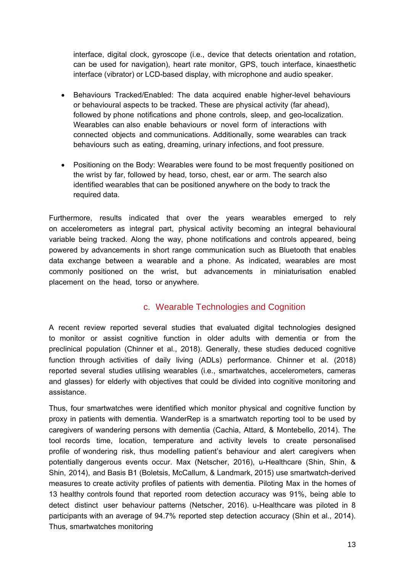interface, digital clock, gyroscope (i.e., device that detects orientation and rotation, can be used for navigation), heart rate monitor, GPS, touch interface, kinaesthetic interface (vibrator) or LCD-based display, with microphone and audio speaker.

- Behaviours Tracked/Enabled: The data acquired enable higher-level behaviours or behavioural aspects to be tracked. These are physical activity (far ahead), followed by phone notifications and phone controls, sleep, and geo-localization. Wearables can also enable behaviours or novel form of interactions with connected objects and communications. Additionally, some wearables can track behaviours such as eating, dreaming, urinary infections, and foot pressure.
- Positioning on the Body: Wearables were found to be most frequently positioned on the wrist by far, followed by head, torso, chest, ear or arm. The search also identified wearables that can be positioned anywhere on the body to track the required data.

Furthermore, results indicated that over the years wearables emerged to rely on accelerometers as integral part, physical activity becoming an integral behavioural variable being tracked. Along the way, phone notifications and controls appeared, being powered by advancements in short range communication such as Bluetooth that enables data exchange between a wearable and a phone. As indicated, wearables are most commonly positioned on the wrist, but advancements in miniaturisation enabled placement on the head, torso or anywhere.

#### c. Wearable Technologies and Cognition

A recent review reported several studies that evaluated digital technologies designed to monitor or assist cognitive function in older adults with dementia or from the preclinical population (Chinner et al., 2018). Generally, these studies deduced cognitive function through activities of daily living (ADLs) performance. Chinner et al. (2018) reported several studies utilising wearables (i.e., smartwatches, accelerometers, cameras and glasses) for elderly with objectives that could be divided into cognitive monitoring and assistance.

Thus, four smartwatches were identified which monitor physical and cognitive function by proxy in patients with dementia. WanderRep is a smartwatch reporting tool to be used by caregivers of wandering persons with dementia (Cachia, Attard, & Montebello, 2014). The tool records time, location, temperature and activity levels to create personalised profile of wondering risk, thus modelling patient's behaviour and alert caregivers when potentially dangerous events occur. Max (Netscher, 2016), u-Healthcare (Shin, Shin, & Shin, 2014), and Basis B1 (Boletsis, McCallum, & Landmark, 2015) use smartwatch-derived measures to create activity profiles of patients with dementia. Piloting Max in the homes of 13 healthy controls found that reported room detection accuracy was 91%, being able to detect distinct user behaviour patterns (Netscher, 2016). u-Healthcare was piloted in 8 participants with an average of 94.7% reported step detection accuracy (Shin et al., 2014). Thus, smartwatches monitoring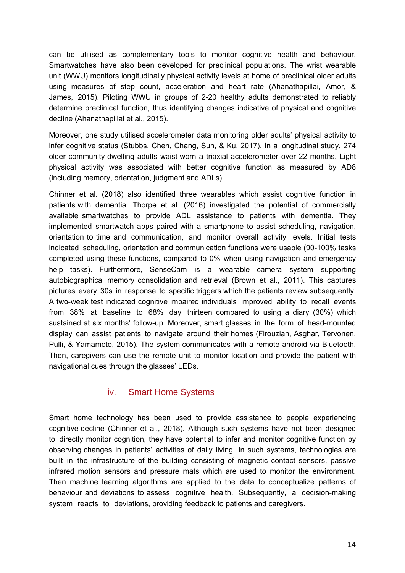can be utilised as complementary tools to monitor cognitive health and behaviour. Smartwatches have also been developed for preclinical populations. The wrist wearable unit (WWU) monitors longitudinally physical activity levels at home of preclinical older adults using measures of step count, acceleration and heart rate (Ahanathapillai, Amor, & James, 2015). Piloting WWU in groups of 2-20 healthy adults demonstrated to reliably determine preclinical function, thus identifying changes indicative of physical and cognitive decline (Ahanathapillai et al., 2015).

Moreover, one study utilised accelerometer data monitoring older adults' physical activity to infer cognitive status (Stubbs, Chen, Chang, Sun, & Ku, 2017). In a longitudinal study, 274 older community-dwelling adults waist-worn a triaxial accelerometer over 22 months. Light physical activity was associated with better cognitive function as measured by AD8 (including memory, orientation, judgment and ADLs).

Chinner et al. (2018) also identified three wearables which assist cognitive function in patients with dementia. Thorpe et al. (2016) investigated the potential of commercially available smartwatches to provide ADL assistance to patients with dementia. They implemented smartwatch apps paired with a smartphone to assist scheduling, navigation, orientation to time and communication, and monitor overall activity levels. Initial tests indicated scheduling, orientation and communication functions were usable (90-100% tasks completed using these functions, compared to 0% when using navigation and emergency help tasks). Furthermore, SenseCam is a wearable camera system supporting autobiographical memory consolidation and retrieval (Brown et al., 2011). This captures pictures every 30s in response to specific triggers which the patients review subsequently. A two-week test indicated cognitive impaired individuals improved ability to recall events from 38% at baseline to 68% day thirteen compared to using a diary (30%) which sustained at six months' follow-up. Moreover, smart glasses in the form of head-mounted display can assist patients to navigate around their homes (Firouzian, Asghar, Tervonen, Pulli, & Yamamoto, 2015). The system communicates with a remote android via Bluetooth. Then, caregivers can use the remote unit to monitor location and provide the patient with navigational cues through the glasses' LEDs.

#### iv. Smart Home Systems

Smart home technology has been used to provide assistance to people experiencing cognitive decline (Chinner et al., 2018). Although such systems have not been designed to directly monitor cognition, they have potential to infer and monitor cognitive function by observing changes in patients' activities of daily living. In such systems, technologies are built in the infrastructure of the building consisting of magnetic contact sensors, passive infrared motion sensors and pressure mats which are used to monitor the environment. Then machine learning algorithms are applied to the data to conceptualize patterns of behaviour and deviations to assess cognitive health. Subsequently, a decision-making system reacts to deviations, providing feedback to patients and caregivers.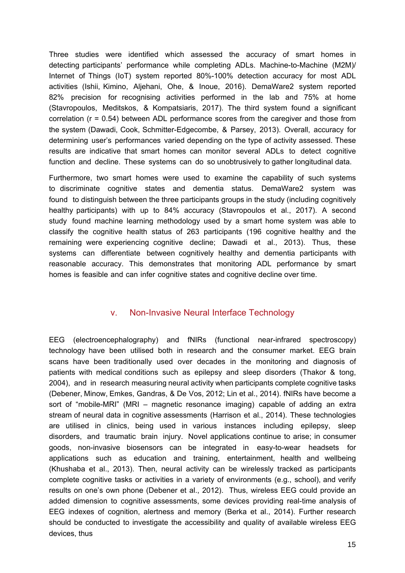Three studies were identified which assessed the accuracy of smart homes in detecting participants' performance while completing ADLs. Machine-to-Machine (M2M)/ Internet of Things (IoT) system reported 80%-100% detection accuracy for most ADL activities (Ishii, Kimino, Aljehani, Ohe, & Inoue, 2016). DemaWare2 system reported 82% precision for recognising activities performed in the lab and 75% at home (Stavropoulos, Meditskos, & Kompatsiaris, 2017). The third system found a significant correlation (r = 0.54) between ADL performance scores from the caregiver and those from the system (Dawadi, Cook, Schmitter-Edgecombe, & Parsey, 2013). Overall, accuracy for determining user's performances varied depending on the type of activity assessed. These results are indicative that smart homes can monitor several ADLs to detect cognitive function and decline. These systems can do so unobtrusively to gather longitudinal data.

Furthermore, two smart homes were used to examine the capability of such systems to discriminate cognitive states and dementia status. DemaWare2 system was found to distinguish between the three participants groups in the study (including cognitively healthy participants) with up to 84% accuracy (Stavropoulos et al., 2017). A second study found machine learning methodology used by a smart home system was able to classify the cognitive health status of 263 participants (196 cognitive healthy and the remaining were experiencing cognitive decline; Dawadi et al., 2013). Thus, these systems can differentiate between cognitively healthy and dementia participants with reasonable accuracy. This demonstrates that monitoring ADL performance by smart homes is feasible and can infer cognitive states and cognitive decline over time.

#### v. Non-Invasive Neural Interface Technology

EEG (electroencephalography) and fNIRs (functional near-infrared spectroscopy) technology have been utilised both in research and the consumer market. EEG brain scans have been traditionally used over decades in the monitoring and diagnosis of patients with medical conditions such as epilepsy and sleep disorders (Thakor & tong, 2004), and in research measuring neural activity when participants complete cognitive tasks (Debener, Minow, Emkes, Gandras, & De Vos, 2012; Lin et al., 2014). fNIRs have become a sort of "mobile-MRI" (MRI – magnetic resonance imaging) capable of adding an extra stream of neural data in cognitive assessments (Harrison et al., 2014). These technologies are utilised in clinics, being used in various instances including epilepsy, sleep disorders, and traumatic brain injury. Novel applications continue to arise; in consumer goods, non-invasive biosensors can be integrated in easy-to-wear headsets for applications such as education and training, entertainment, health and wellbeing (Khushaba et al., 2013). Then, neural activity can be wirelessly tracked as participants complete cognitive tasks or activities in a variety of environments (e.g., school), and verify results on one's own phone (Debener et al., 2012). Thus, wireless EEG could provide an added dimension to cognitive assessments, some devices providing real-time analysis of EEG indexes of cognition, alertness and memory (Berka et al., 2014). Further research should be conducted to investigate the accessibility and quality of available wireless EEG devices, thus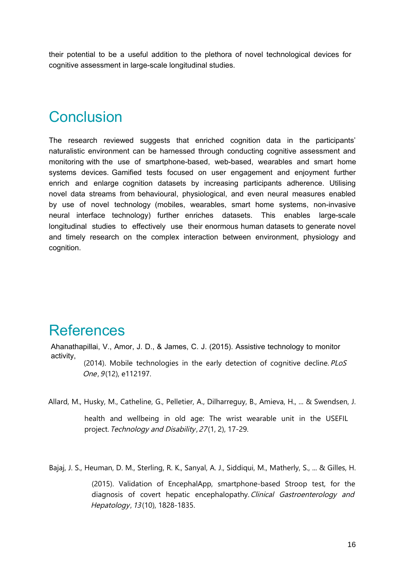their potential to be a useful addition to the plethora of novel technological devices for cognitive assessment in large-scale longitudinal studies.

# **Conclusion**

The research reviewed suggests that enriched cognition data in the participants' naturalistic environment can be harnessed through conducting cognitive assessment and monitoring with the use of smartphone-based, web-based, wearables and smart home systems devices. Gamified tests focused on user engagement and enjoyment further enrich and enlarge cognition datasets by increasing participants adherence. Utilising novel data streams from behavioural, physiological, and even neural measures enabled by use of novel technology (mobiles, wearables, smart home systems, non-invasive neural interface technology) further enriches datasets. This enables large-scale longitudinal studies to effectively use their enormous human datasets to generate novel and timely research on the complex interaction between environment, physiology and cognition.

# References

Ahanathapillai, V., Amor, J. D., & James, C. J. (2015). Assistive technology to monitor activity, (2014). Mobile technologies in the early detection of cognitive decline. PLoS One, 9(12), e112197.

Allard, M., Husky, M., Catheline, G., Pelletier, A., Dilharreguy, B., Amieva, H., ... & Swendsen, J.

health and wellbeing in old age: The wrist wearable unit in the USEFIL project. Technology and Disability , 27(1, 2), 17-29.

Bajaj, J. S., Heuman, D. M., Sterling, R. K., Sanyal, A. J., Siddiqui, M., Matherly, S., ... & Gilles, H.

(2015). Validation of EncephalApp, smartphone-based Stroop test, for the diagnosis of covert hepatic encephalopathy. Clinical Gastroenterology and Hepatology, 13(10), 1828-1835.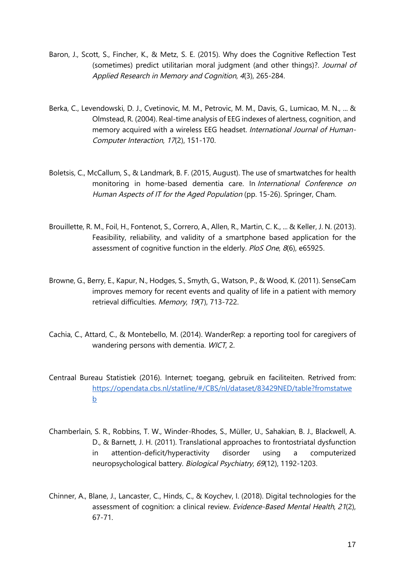- Baron, J., Scott, S., Fincher, K., & Metz, S. E. (2015). Why does the Cognitive Reflection Test (sometimes) predict utilitarian moral judgment (and other things)?. Journal of Applied Research in Memory and Cognition, 4(3), 265-284.
- Berka, C., Levendowski, D. J., Cvetinovic, M. M., Petrovic, M. M., Davis, G., Lumicao, M. N., ... & Olmstead, R. (2004). Real-time analysis of EEG indexes of alertness, cognition, and memory acquired with a wireless EEG headset. International Journal of Human-Computer Interaction, 17(2), 151-170.
- Boletsis, C., McCallum, S., & Landmark, B. F. (2015, August). The use of smartwatches for health monitoring in home-based dementia care. In International Conference on Human Aspects of IT for the Aged Population (pp. 15-26). Springer, Cham.
- Brouillette, R. M., Foil, H., Fontenot, S., Correro, A., Allen, R., Martin, C. K., ... & Keller, J. N. (2013). Feasibility, reliability, and validity of a smartphone based application for the assessment of cognitive function in the elderly. PloS One, 8(6), e65925.
- Browne, G., Berry, E., Kapur, N., Hodges, S., Smyth, G., Watson, P., & Wood, K. (2011). SenseCam improves memory for recent events and quality of life in a patient with memory retrieval difficulties. Memory, 19(7), 713-722.
- Cachia, C., Attard, C., & Montebello, M. (2014). WanderRep: a reporting tool for caregivers of wandering persons with dementia. WICT, 2.
- Centraal Bureau Statistiek (2016). Internet; toegang, gebruik en faciliteiten. Retrived from: https://opendata.cbs.nl/statline/#/CBS/nl/dataset/83429NED/table?fromstatwe b
- Chamberlain, S. R., Robbins, T. W., Winder-Rhodes, S., Müller, U., Sahakian, B. J., Blackwell, A. D., & Barnett, J. H. (2011). Translational approaches to frontostriatal dysfunction in attention-deficit/hyperactivity disorder using a computerized neuropsychological battery. Biological Psychiatry, 69(12), 1192-1203.
- Chinner, A., Blane, J., Lancaster, C., Hinds, C., & Koychev, I. (2018). Digital technologies for the assessment of cognition: a clinical review. Evidence-Based Mental Health, 21(2), 67-71.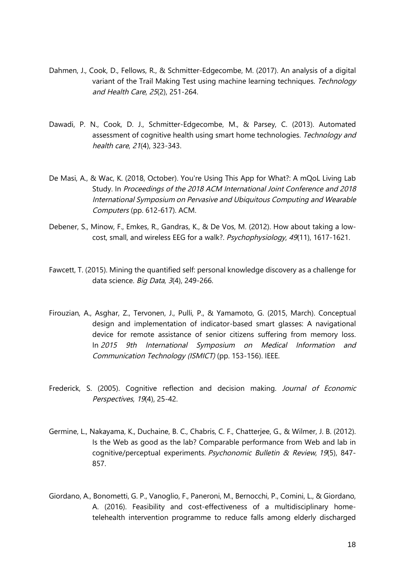- Dahmen, J., Cook, D., Fellows, R., & Schmitter-Edgecombe, M. (2017). An analysis of a digital variant of the Trail Making Test using machine learning techniques. Technology and Health Care, 25(2), 251-264.
- Dawadi, P. N., Cook, D. J., Schmitter-Edgecombe, M., & Parsey, C. (2013). Automated assessment of cognitive health using smart home technologies. Technology and health care, 21(4), 323-343.
- De Masi, A., & Wac, K. (2018, October). You're Using This App for What?: A mQoL Living Lab Study. In Proceedings of the 2018 ACM International Joint Conference and 2018 International Symposium on Pervasive and Ubiquitous Computing and Wearable Computers (pp. 612-617). ACM.
- Debener, S., Minow, F., Emkes, R., Gandras, K., & De Vos, M. (2012). How about taking a lowcost, small, and wireless EEG for a walk?. Psychophysiology, 49(11), 1617-1621.
- Fawcett, T. (2015). Mining the quantified self: personal knowledge discovery as a challenge for data science. Big Data, 3(4), 249-266.
- Firouzian, A., Asghar, Z., Tervonen, J., Pulli, P., & Yamamoto, G. (2015, March). Conceptual design and implementation of indicator-based smart glasses: A navigational device for remote assistance of senior citizens suffering from memory loss. In 2015 9th International Symposium on Medical Information and Communication Technology (ISMICT) (pp. 153-156). IEEE.
- Frederick, S. (2005). Cognitive reflection and decision making. Journal of Economic Perspectives, 19(4), 25-42.
- Germine, L., Nakayama, K., Duchaine, B. C., Chabris, C. F., Chatterjee, G., & Wilmer, J. B. (2012). Is the Web as good as the lab? Comparable performance from Web and lab in cognitive/perceptual experiments. Psychonomic Bulletin & Review, 19(5), 847- 857.
- Giordano, A., Bonometti, G. P., Vanoglio, F., Paneroni, M., Bernocchi, P., Comini, L., & Giordano, A. (2016). Feasibility and cost-effectiveness of a multidisciplinary hometelehealth intervention programme to reduce falls among elderly discharged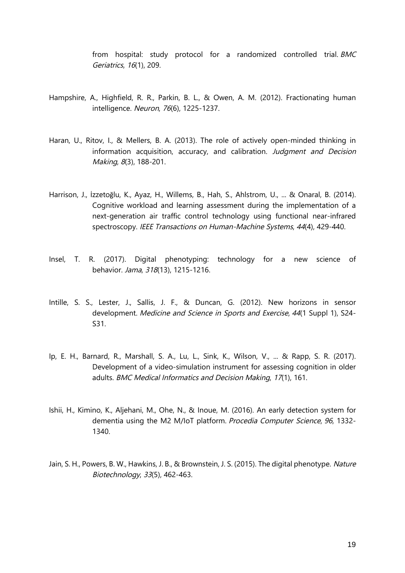from hospital: study protocol for a randomized controlled trial. BMC Geriatrics, 16(1), 209.

- Hampshire, A., Highfield, R. R., Parkin, B. L., & Owen, A. M. (2012). Fractionating human intelligence. Neuron, 76(6), 1225-1237.
- Haran, U., Ritov, I., & Mellers, B. A. (2013). The role of actively open-minded thinking in information acquisition, accuracy, and calibration. Judgment and Decision Making, 8(3), 188-201.
- Harrison, J., İzzetoğlu, K., Ayaz, H., Willems, B., Hah, S., Ahlstrom, U., ... & Onaral, B. (2014). Cognitive workload and learning assessment during the implementation of a next-generation air traffic control technology using functional near-infrared spectroscopy. IEEE Transactions on Human-Machine Systems, 44(4), 429-440.
- Insel, T. R. (2017). Digital phenotyping: technology for a new science of behavior. Jama, 318(13), 1215-1216.
- Intille, S. S., Lester, J., Sallis, J. F., & Duncan, G. (2012). New horizons in sensor development. Medicine and Science in Sports and Exercise, 44(1 Suppl 1), S24- S31.
- Ip, E. H., Barnard, R., Marshall, S. A., Lu, L., Sink, K., Wilson, V., ... & Rapp, S. R. (2017). Development of a video-simulation instrument for assessing cognition in older adults. BMC Medical Informatics and Decision Making, 17(1), 161.
- Ishii, H., Kimino, K., Aljehani, M., Ohe, N., & Inoue, M. (2016). An early detection system for dementia using the M2 M/IoT platform. Procedia Computer Science, 96, 1332- 1340.
- Jain, S. H., Powers, B. W., Hawkins, J. B., & Brownstein, J. S. (2015). The digital phenotype. Nature Biotechnology, 33(5), 462-463.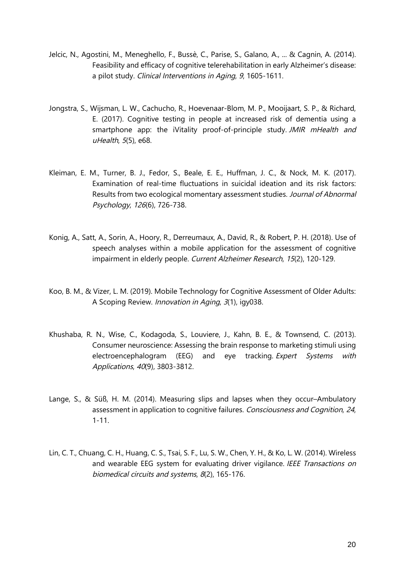- Jelcic, N., Agostini, M., Meneghello, F., Bussè, C., Parise, S., Galano, A., ... & Cagnin, A. (2014). Feasibility and efficacy of cognitive telerehabilitation in early Alzheimer's disease: a pilot study. Clinical Interventions in Aging, 9, 1605-1611.
- Jongstra, S., Wijsman, L. W., Cachucho, R., Hoevenaar-Blom, M. P., Mooijaart, S. P., & Richard, E. (2017). Cognitive testing in people at increased risk of dementia using a smartphone app: the iVitality proof-of-principle study. JMIR mHealth and uHealth, 5(5), e68.
- Kleiman, E. M., Turner, B. J., Fedor, S., Beale, E. E., Huffman, J. C., & Nock, M. K. (2017). Examination of real-time fluctuations in suicidal ideation and its risk factors: Results from two ecological momentary assessment studies. Journal of Abnormal Psychology, 126(6), 726-738.
- Konig, A., Satt, A., Sorin, A., Hoory, R., Derreumaux, A., David, R., & Robert, P. H. (2018). Use of speech analyses within a mobile application for the assessment of cognitive impairment in elderly people. Current Alzheimer Research, 15(2), 120-129.
- Koo, B. M., & Vizer, L. M. (2019). Mobile Technology for Cognitive Assessment of Older Adults: A Scoping Review. Innovation in Aging, 3(1), igy038.
- Khushaba, R. N., Wise, C., Kodagoda, S., Louviere, J., Kahn, B. E., & Townsend, C. (2013). Consumer neuroscience: Assessing the brain response to marketing stimuli using electroencephalogram (EEG) and eye tracking. Expert Systems with Applications, 40(9), 3803-3812.
- Lange, S., & Süß, H. M. (2014). Measuring slips and lapses when they occur–Ambulatory assessment in application to cognitive failures. Consciousness and Cognition, 24, 1-11.
- Lin, C. T., Chuang, C. H., Huang, C. S., Tsai, S. F., Lu, S. W., Chen, Y. H., & Ko, L. W. (2014). Wireless and wearable EEG system for evaluating driver vigilance. IEEE Transactions on biomedical circuits and systems, 8(2), 165-176.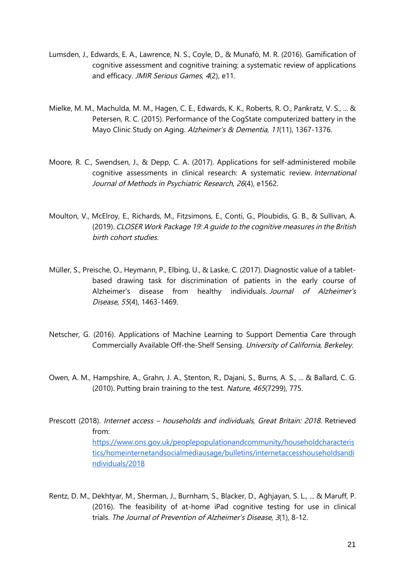- Lumsden, J., Edwards, E. A., Lawrence, N. S., Coyle, D., & Munafò, M. R. (2016). Gamification of cognitive assessment and cognitive training: a systematic review of applications and efficacy. JMIR Serious Games, 4(2), e11.
- Mielke, M. M., Machulda, M. M., Hagen, C. E., Edwards, K. K., Roberts, R. O., Pankratz, V. S., ... & Petersen, R. C. (2015). Performance of the CogState computerized battery in the Mayo Clinic Study on Aging. Alzheimer's & Dementia, 11(11), 1367-1376.
- Moore, R. C., Swendsen, J., & Depp, C. A. (2017). Applications for self‐administered mobile cognitive assessments in clinical research: A systematic review. International Journal of Methods in Psychiatric Research, 26(4), e1562.
- Moulton, V., McElroy, E., Richards, M., Fitzsimons, E., Conti, G., Ploubidis, G. B., & Sullivan, A. (2019). CLOSER Work Package 19: A guide to the cognitive measures in the British birth cohort studies.
- Müller, S., Preische, O., Heymann, P., Elbing, U., & Laske, C. (2017). Diagnostic value of a tabletbased drawing task for discrimination of patients in the early course of Alzheimer's disease from healthy individuals. Journal of Alzheimer's Disease, 55(4), 1463-1469.
- Netscher, G. (2016). Applications of Machine Learning to Support Dementia Care through Commercially Available Off-the-Shelf Sensing. University of California, Berkeley.
- Owen, A. M., Hampshire, A., Grahn, J. A., Stenton, R., Dajani, S., Burns, A. S., ... & Ballard, C. G. (2010). Putting brain training to the test. Nature, 465(7299), 775.
- Prescott (2018). Internet access households and individuals, Great Britain: 2018. Retrieved from: https://www.ons.gov.uk/peoplepopulationandcommunity/householdcharacteris tics/homeinternetandsocialmediausage/bulletins/internetaccesshouseholdsandi ndividuals/2018
- Rentz, D. M., Dekhtyar, M., Sherman, J., Burnham, S., Blacker, D., Aghjayan, S. L., ... & Maruff, P. (2016). The feasibility of at-home iPad cognitive testing for use in clinical trials. The Journal of Prevention of Alzheimer's Disease, 3(1), 8-12.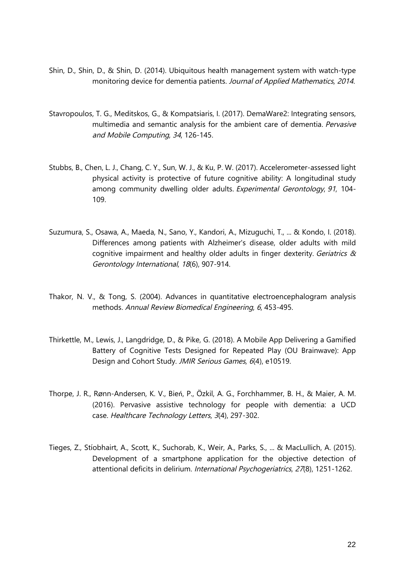- Shin, D., Shin, D., & Shin, D. (2014). Ubiquitous health management system with watch-type monitoring device for dementia patients. Journal of Applied Mathematics, 2014.
- Stavropoulos, T. G., Meditskos, G., & Kompatsiaris, I. (2017). DemaWare2: Integrating sensors, multimedia and semantic analysis for the ambient care of dementia. Pervasive and Mobile Computing, 34, 126-145.
- Stubbs, B., Chen, L. J., Chang, C. Y., Sun, W. J., & Ku, P. W. (2017). Accelerometer-assessed light physical activity is protective of future cognitive ability: A longitudinal study among community dwelling older adults. Experimental Gerontology, 91, 104- 109.
- Suzumura, S., Osawa, A., Maeda, N., Sano, Y., Kandori, A., Mizuguchi, T., ... & Kondo, I. (2018). Differences among patients with Alzheimer's disease, older adults with mild cognitive impairment and healthy older adults in finger dexterity. Geriatrics & Gerontology International, 18(6), 907-914.
- Thakor, N. V., & Tong, S. (2004). Advances in quantitative electroencephalogram analysis methods. Annual Review Biomedical Engineering, 6, 453-495.
- Thirkettle, M., Lewis, J., Langdridge, D., & Pike, G. (2018). A Mobile App Delivering a Gamified Battery of Cognitive Tests Designed for Repeated Play (OU Brainwave): App Design and Cohort Study. JMIR Serious Games, 6(4), e10519.
- Thorpe, J. R., Rønn-Andersen, K. V., Bień, P., Özkil, A. G., Forchhammer, B. H., & Maier, A. M. (2016). Pervasive assistive technology for people with dementia: a UCD case. Healthcare Technology Letters, 3(4), 297-302.
- Tieges, Z., Stíobhairt, A., Scott, K., Suchorab, K., Weir, A., Parks, S., ... & MacLullich, A. (2015). Development of a smartphone application for the objective detection of attentional deficits in delirium. International Psychogeriatrics, 27(8), 1251-1262.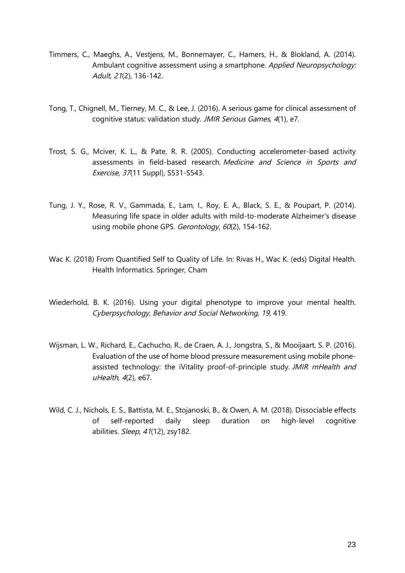- Timmers, C., Maeghs, A., Vestjens, M., Bonnemayer, C., Hamers, H., & Blokland, A. (2014). Ambulant cognitive assessment using a smartphone. Applied Neuropsychology: Adult, 21(2), 136-142.
- Tong, T., Chignell, M., Tierney, M. C., & Lee, J. (2016). A serious game for clinical assessment of cognitive status: validation study. JMIR Serious Games, 4(1), e7.
- Trost, S. G., Mciver, K. L., & Pate, R. R. (2005). Conducting accelerometer-based activity assessments in field-based research. Medicine and Science in Sports and Exercise, 37(11 Suppl), S531-S543.
- Tung, J. Y., Rose, R. V., Gammada, E., Lam, I., Roy, E. A., Black, S. E., & Poupart, P. (2014). Measuring life space in older adults with mild-to-moderate Alzheimer's disease using mobile phone GPS. Gerontology, 60(2), 154-162.
- Wac K. (2018) From Quantified Self to Quality of Life. In: Rivas H., Wac K. (eds) Digital Health. Health Informatics. Springer, Cham
- Wiederhold, B. K. (2016). Using your digital phenotype to improve your mental health. Cyberpsychology, Behavior and Social Networking, 19, 419.
- Wijsman, L. W., Richard, E., Cachucho, R., de Craen, A. J., Jongstra, S., & Mooijaart, S. P. (2016). Evaluation of the use of home blood pressure measurement using mobile phoneassisted technology: the iVitality proof-of-principle study. JMIR mHealth and uHealth, 4(2), e67.
- Wild, C. J., Nichols, E. S., Battista, M. E., Stojanoski, B., & Owen, A. M. (2018). Dissociable effects of self-reported daily sleep duration on high-level cognitive abilities. Sleep, 41(12), zsy182.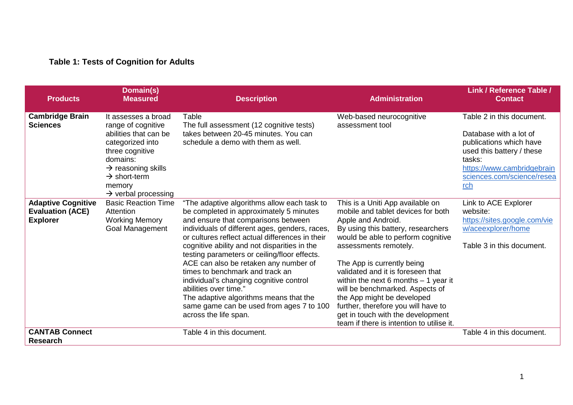# **Table 1: Tests of Cognition for Adults**

| <b>Products</b>                                                         | Domain(s)<br><b>Measured</b>                                                                                                                                                                                                     | <b>Description</b>                                                                                                                                                                                                                                                                                                                                                                                                                                                                                                                                                                                | <b>Administration</b>                                                                                                                                                                                                                                                                                                                                                                                                                                                                                   | <b>Link / Reference Table /</b><br><b>Contact</b>                                                                                                                                        |
|-------------------------------------------------------------------------|----------------------------------------------------------------------------------------------------------------------------------------------------------------------------------------------------------------------------------|---------------------------------------------------------------------------------------------------------------------------------------------------------------------------------------------------------------------------------------------------------------------------------------------------------------------------------------------------------------------------------------------------------------------------------------------------------------------------------------------------------------------------------------------------------------------------------------------------|---------------------------------------------------------------------------------------------------------------------------------------------------------------------------------------------------------------------------------------------------------------------------------------------------------------------------------------------------------------------------------------------------------------------------------------------------------------------------------------------------------|------------------------------------------------------------------------------------------------------------------------------------------------------------------------------------------|
| <b>Cambridge Brain</b><br><b>Sciences</b>                               | It assesses a broad<br>range of cognitive<br>abilities that can be<br>categorized into<br>three cognitive<br>domains:<br>$\rightarrow$ reasoning skills<br>$\rightarrow$ short-term<br>memory<br>$\rightarrow$ verbal processing | Table<br>The full assessment (12 cognitive tests)<br>takes between 20-45 minutes. You can<br>schedule a demo with them as well.                                                                                                                                                                                                                                                                                                                                                                                                                                                                   | Web-based neurocognitive<br>assessment tool                                                                                                                                                                                                                                                                                                                                                                                                                                                             | Table 2 in this document.<br>Database with a lot of<br>publications which have<br>used this battery / these<br>tasks:<br>https://www.cambridgebrain<br>sciences.com/science/resea<br>rch |
| <b>Adaptive Cognitive</b><br><b>Evaluation (ACE)</b><br><b>Explorer</b> | <b>Basic Reaction Time</b><br>Attention<br><b>Working Memory</b><br>Goal Management                                                                                                                                              | "The adaptive algorithms allow each task to<br>be completed in approximately 5 minutes<br>and ensure that comparisons between<br>individuals of different ages, genders, races,<br>or cultures reflect actual differences in their<br>cognitive ability and not disparities in the<br>testing parameters or ceiling/floor effects.<br>ACE can also be retaken any number of<br>times to benchmark and track an<br>individual's changing cognitive control<br>abilities over time."<br>The adaptive algorithms means that the<br>same game can be used from ages 7 to 100<br>across the life span. | This is a Uniti App available on<br>mobile and tablet devices for both<br>Apple and Android.<br>By using this battery, researchers<br>would be able to perform cognitive<br>assessments remotely.<br>The App is currently being<br>validated and it is foreseen that<br>within the next 6 months $-1$ year it<br>will be benchmarked. Aspects of<br>the App might be developed<br>further, therefore you will have to<br>get in touch with the development<br>team if there is intention to utilise it. | Link to ACE Explorer<br>website:<br>https://sites.google.com/vie<br>w/aceexplorer/home<br>Table 3 in this document.                                                                      |
| <b>CANTAB Connect</b><br><b>Research</b>                                |                                                                                                                                                                                                                                  | Table 4 in this document.                                                                                                                                                                                                                                                                                                                                                                                                                                                                                                                                                                         |                                                                                                                                                                                                                                                                                                                                                                                                                                                                                                         | Table 4 in this document.                                                                                                                                                                |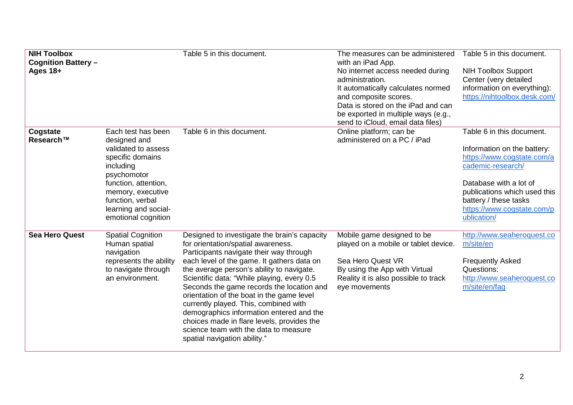| <b>NIH Toolbox</b><br><b>Cognition Battery -</b><br>Ages $18+$ |                                                                                                                                                                                                                           | Table 5 in this document.                                                                                                                                                                                                                                                                                                                                                                                                                                                                                                                                                    | The measures can be administered<br>with an iPad App.<br>No internet access needed during<br>administration.<br>It automatically calculates normed<br>and composite scores.<br>Data is stored on the iPad and can<br>be exported in multiple ways (e.g.,<br>send to iCloud, email data files) | Table 5 in this document.<br><b>NIH Toolbox Support</b><br>Center (very detailed<br>information on everything):<br>https://nihtoolbox.desk.com/                                                                                             |
|----------------------------------------------------------------|---------------------------------------------------------------------------------------------------------------------------------------------------------------------------------------------------------------------------|------------------------------------------------------------------------------------------------------------------------------------------------------------------------------------------------------------------------------------------------------------------------------------------------------------------------------------------------------------------------------------------------------------------------------------------------------------------------------------------------------------------------------------------------------------------------------|-----------------------------------------------------------------------------------------------------------------------------------------------------------------------------------------------------------------------------------------------------------------------------------------------|---------------------------------------------------------------------------------------------------------------------------------------------------------------------------------------------------------------------------------------------|
| Cogstate<br>Research™                                          | Each test has been<br>designed and<br>validated to assess<br>specific domains<br>including<br>psychomotor<br>function, attention,<br>memory, executive<br>function, verbal<br>learning and social-<br>emotional cognition | Table 6 in this document.                                                                                                                                                                                                                                                                                                                                                                                                                                                                                                                                                    | Online platform; can be<br>administered on a PC / iPad                                                                                                                                                                                                                                        | Table 6 in this document.<br>Information on the battery:<br>https://www.cogstate.com/a<br>cademic-research/<br>Database with a lot of<br>publications which used this<br>battery / these tasks<br>https://www.cogstate.com/p<br>ublication/ |
| <b>Sea Hero Quest</b>                                          | <b>Spatial Cognition</b><br>Human spatial<br>navigation<br>represents the ability<br>to navigate through<br>an environment.                                                                                               | Designed to investigate the brain's capacity<br>for orientation/spatial awareness.<br>Participants navigate their way through<br>each level of the game. It gathers data on<br>the average person's ability to navigate.<br>Scientific data: "While playing, every 0.5<br>Seconds the game records the location and<br>orientation of the boat in the game level<br>currently played. This, combined with<br>demographics information entered and the<br>choices made in flare levels, provides the<br>science team with the data to measure<br>spatial navigation ability." | Mobile game designed to be<br>played on a mobile or tablet device.<br>Sea Hero Quest VR<br>By using the App with Virtual<br>Reality it is also possible to track<br>eye movements                                                                                                             | http://www.seaheroquest.co<br>m/site/en<br><b>Frequently Asked</b><br>Questions:<br>http://www.seaheroquest.co<br>m/site/en/faq                                                                                                             |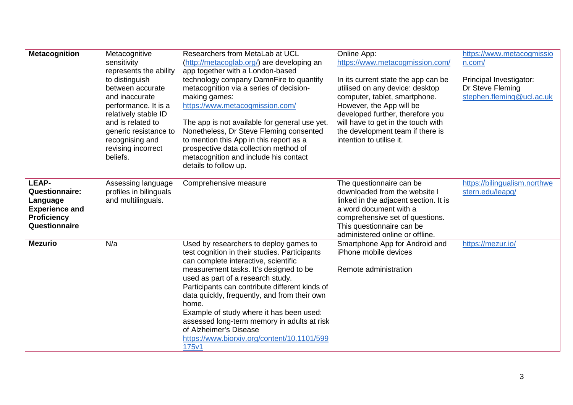| <b>Metacognition</b>                                                                                       | Metacognitive<br>sensitivity<br>represents the ability<br>to distinguish<br>between accurate<br>and inaccurate<br>performance. It is a<br>relatively stable ID<br>and is related to<br>generic resistance to<br>recognising and<br>revising incorrect<br>beliefs. | Researchers from MetaLab at UCL<br>(http://metacoglab.org/) are developing an<br>app together with a London-based<br>technology company DamnFire to quantify<br>metacognition via a series of decision-<br>making games:<br>https://www.metacogmission.com/<br>The app is not available for general use yet.<br>Nonetheless, Dr Steve Fleming consented<br>to mention this App in this report as a<br>prospective data collection method of<br>metacognition and include his contact<br>details to follow up. | Online App:<br>https://www.metacogmission.com/<br>In its current state the app can be<br>utilised on any device: desktop<br>computer, tablet, smartphone.<br>However, the App will be<br>developed further, therefore you<br>will have to get in the touch with<br>the development team if there is<br>intention to utilise it. | https://www.metacogmissio<br>n.com/<br>Principal Investigator:<br>Dr Steve Fleming<br>stephen.fleming@ucl.ac.uk |
|------------------------------------------------------------------------------------------------------------|-------------------------------------------------------------------------------------------------------------------------------------------------------------------------------------------------------------------------------------------------------------------|---------------------------------------------------------------------------------------------------------------------------------------------------------------------------------------------------------------------------------------------------------------------------------------------------------------------------------------------------------------------------------------------------------------------------------------------------------------------------------------------------------------|---------------------------------------------------------------------------------------------------------------------------------------------------------------------------------------------------------------------------------------------------------------------------------------------------------------------------------|-----------------------------------------------------------------------------------------------------------------|
| LEAP-<br><b>Questionnaire:</b><br>Language<br><b>Experience and</b><br><b>Proficiency</b><br>Questionnaire | Assessing language<br>profiles in bilinguals<br>and multilinguals.                                                                                                                                                                                                | Comprehensive measure                                                                                                                                                                                                                                                                                                                                                                                                                                                                                         | The questionnaire can be<br>downloaded from the website I<br>linked in the adjacent section. It is<br>a word document with a<br>comprehensive set of questions.<br>This questionnaire can be<br>administered online or offline.                                                                                                 | https://bilingualism.northwe<br>stern.edu/leapq/                                                                |
| <b>Mezurio</b>                                                                                             | N/a                                                                                                                                                                                                                                                               | Used by researchers to deploy games to<br>test cognition in their studies. Participants<br>can complete interactive, scientific<br>measurement tasks. It's designed to be<br>used as part of a research study.<br>Participants can contribute different kinds of<br>data quickly, frequently, and from their own<br>home.<br>Example of study where it has been used:<br>assessed long-term memory in adults at risk<br>of Alzheimer's Disease<br>https://www.biorxiv.org/content/10.1101/599<br>175v1        | Smartphone App for Android and<br>iPhone mobile devices<br>Remote administration                                                                                                                                                                                                                                                | https://mezur.io/                                                                                               |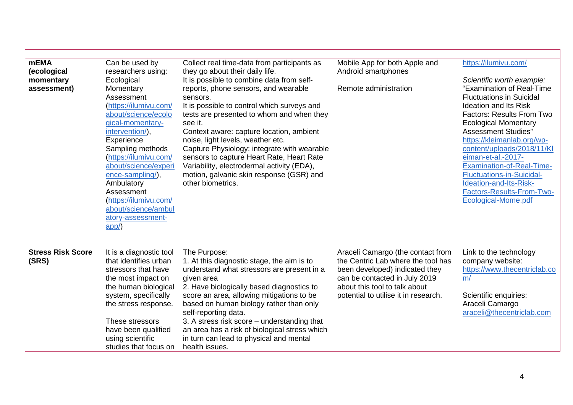| <b>mEMA</b><br>(ecological<br>momentary<br>assessment) | Can be used by<br>researchers using:<br>Ecological<br>Momentary<br>Assessment<br>(https://ilumivu.com/<br>about/science/ecolo<br>gical-momentary-<br>intervention/),<br>Experience<br>Sampling methods                                                       | Collect real time-data from participants as<br>they go about their daily life.<br>It is possible to combine data from self-<br>reports, phone sensors, and wearable<br>sensors.<br>It is possible to control which surveys and<br>tests are presented to whom and when they<br>see it.<br>Context aware: capture location, ambient<br>noise, light levels, weather etc.<br>Capture Physiology: integrate with wearable                           | Mobile App for both Apple and<br>Android smartphones<br>Remote administration                                                                                                                                       | https://ilumivu.com/<br>Scientific worth example:<br>"Examination of Real-Time<br><b>Fluctuations in Suicidal</b><br><b>Ideation and Its Risk</b><br><b>Factors: Results From Two</b><br><b>Ecological Momentary</b><br><b>Assessment Studies"</b><br>https://kleimanlab.org/wp-<br>content/uploads/2018/11/KI |
|--------------------------------------------------------|--------------------------------------------------------------------------------------------------------------------------------------------------------------------------------------------------------------------------------------------------------------|--------------------------------------------------------------------------------------------------------------------------------------------------------------------------------------------------------------------------------------------------------------------------------------------------------------------------------------------------------------------------------------------------------------------------------------------------|---------------------------------------------------------------------------------------------------------------------------------------------------------------------------------------------------------------------|----------------------------------------------------------------------------------------------------------------------------------------------------------------------------------------------------------------------------------------------------------------------------------------------------------------|
|                                                        | (https://ilumivu.com/<br>about/science/experi<br>ence-sampling/),<br>Ambulatory<br>Assessment<br>(https://ilumivu.com/<br>about/science/ambul<br>atory-assessment-<br>app/                                                                                   | sensors to capture Heart Rate, Heart Rate<br>Variability, electrodermal activity (EDA),<br>motion, galvanic skin response (GSR) and<br>other biometrics.                                                                                                                                                                                                                                                                                         |                                                                                                                                                                                                                     | eiman-et-al.-2017-<br><b>Examination-of-Real-Time-</b><br><b>Fluctuations-in-Suicidal-</b><br>Ideation-and-Its-Risk-<br>Factors-Results-From-Two-<br>Ecological-Mome.pdf                                                                                                                                       |
| <b>Stress Risk Score</b><br>(SRS)                      | It is a diagnostic tool<br>that identifies urban<br>stressors that have<br>the most impact on<br>the human biological<br>system, specifically<br>the stress response.<br>These stressors<br>have been qualified<br>using scientific<br>studies that focus on | The Purpose:<br>1. At this diagnostic stage, the aim is to<br>understand what stressors are present in a<br>given area<br>2. Have biologically based diagnostics to<br>score an area, allowing mitigations to be<br>based on human biology rather than only<br>self-reporting data.<br>3. A stress risk score - understanding that<br>an area has a risk of biological stress which<br>in turn can lead to physical and mental<br>health issues. | Araceli Camargo (the contact from<br>the Centric Lab where the tool has<br>been developed) indicated they<br>can be contacted in July 2019<br>about this tool to talk about<br>potential to utilise it in research. | Link to the technology<br>company website:<br>https://www.thecentriclab.co<br>m/<br>Scientific enquiries:<br>Araceli Camargo<br>araceli@thecentriclab.com                                                                                                                                                      |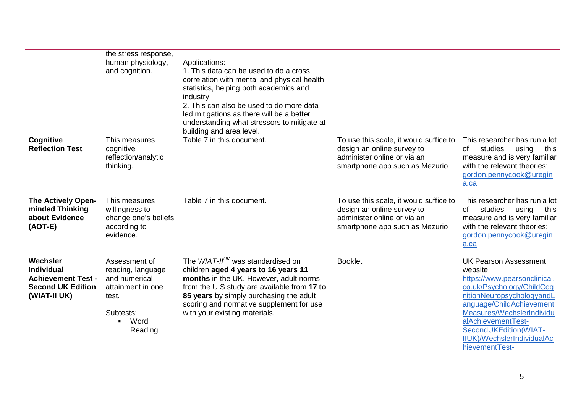|                                                                                                        | the stress response,<br>human physiology,<br>and cognition.                                                             | Applications:<br>1. This data can be used to do a cross<br>correlation with mental and physical health<br>statistics, helping both academics and<br>industry.<br>2. This can also be used to do more data<br>led mitigations as there will be a better<br>understanding what stressors to mitigate at<br>building and area level. |                                                                                                                                       |                                                                                                                                                                                                                                                                                                   |
|--------------------------------------------------------------------------------------------------------|-------------------------------------------------------------------------------------------------------------------------|-----------------------------------------------------------------------------------------------------------------------------------------------------------------------------------------------------------------------------------------------------------------------------------------------------------------------------------|---------------------------------------------------------------------------------------------------------------------------------------|---------------------------------------------------------------------------------------------------------------------------------------------------------------------------------------------------------------------------------------------------------------------------------------------------|
| Cognitive<br><b>Reflection Test</b>                                                                    | This measures<br>cognitive<br>reflection/analytic<br>thinking.                                                          | Table 7 in this document.                                                                                                                                                                                                                                                                                                         | To use this scale, it would suffice to<br>design an online survey to<br>administer online or via an<br>smartphone app such as Mezurio | This researcher has run a lot<br>of<br>studies<br>using<br>this<br>measure and is very familiar<br>with the relevant theories:<br>gordon.pennycook@uregin<br>a.ca                                                                                                                                 |
| <b>The Actively Open-</b><br>minded Thinking<br>about Evidence<br>$(AOT-E)$                            | This measures<br>willingness to<br>change one's beliefs<br>according to<br>evidence.                                    | Table 7 in this document.                                                                                                                                                                                                                                                                                                         | To use this scale, it would suffice to<br>design an online survey to<br>administer online or via an<br>smartphone app such as Mezurio | This researcher has run a lot<br>studies<br>using<br>of<br>this<br>measure and is very familiar<br>with the relevant theories:<br>gordon.pennycook@uregin<br>a.ca                                                                                                                                 |
| Wechsler<br><b>Individual</b><br><b>Achievement Test -</b><br><b>Second UK Edition</b><br>(WIAT-II UK) | Assessment of<br>reading, language<br>and numerical<br>attainment in one<br>test.<br>Subtests:<br>Word<br>٠.<br>Reading | The WIAT- $II^{UK}$ was standardised on<br>children aged 4 years to 16 years 11<br>months in the UK. However, adult norms<br>from the U.S study are available from 17 to<br>85 years by simply purchasing the adult<br>scoring and normative supplement for use<br>with your existing materials.                                  | <b>Booklet</b>                                                                                                                        | <b>UK Pearson Assessment</b><br>website:<br>https://www.pearsonclinical.<br>co.uk/Psychology/ChildCog<br>nitionNeuropsychologyandL<br>anguage/ChildAchievement<br>Measures/WechslerIndividu<br>alAchievementTest-<br>SecondUKEdition(WIAT-<br><b>IIUK)/WechslerIndividualAc</b><br>hievementTest- |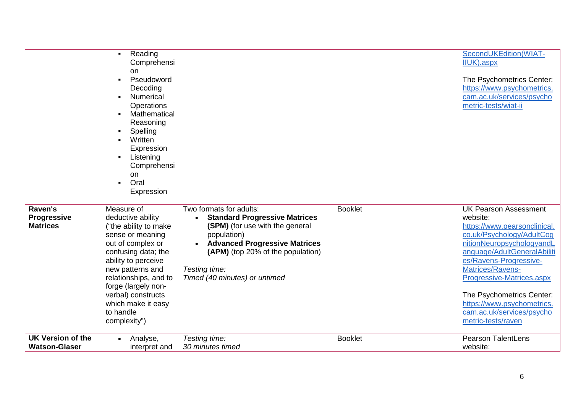|                                                  | Reading<br>$\blacksquare$<br>Comprehensi<br>on<br>Pseudoword<br>$\blacksquare$<br>Decoding<br>Numerical<br>Operations<br>Mathematical<br>$\blacksquare$<br>Reasoning<br>Spelling<br>Written<br>$\blacksquare$<br>Expression<br>Listening<br>$\blacksquare$<br>Comprehensi<br><b>on</b><br>Oral<br>$\blacksquare$<br>Expression |                                                                                                                                                                                                                                                                |                | SecondUKEdition(WIAT-<br>IIUK).aspx<br>The Psychometrics Center:<br>https://www.psychometrics.<br>cam.ac.uk/services/psycho<br>metric-tests/wiat-ii                                                                                                                                                                                                        |
|--------------------------------------------------|--------------------------------------------------------------------------------------------------------------------------------------------------------------------------------------------------------------------------------------------------------------------------------------------------------------------------------|----------------------------------------------------------------------------------------------------------------------------------------------------------------------------------------------------------------------------------------------------------------|----------------|------------------------------------------------------------------------------------------------------------------------------------------------------------------------------------------------------------------------------------------------------------------------------------------------------------------------------------------------------------|
| Raven's<br><b>Progressive</b><br><b>Matrices</b> | Measure of<br>deductive ability<br>("the ability to make<br>sense or meaning<br>out of complex or<br>confusing data; the<br>ability to perceive<br>new patterns and<br>relationships, and to<br>forge (largely non-<br>verbal) constructs<br>which make it easy<br>to handle<br>complexity")                                   | Two formats for adults:<br><b>Standard Progressive Matrices</b><br><b>(SPM)</b> (for use with the general<br>population)<br><b>Advanced Progressive Matrices</b><br><b>(APM)</b> (top 20% of the population)<br>Testing time:<br>Timed (40 minutes) or untimed | <b>Booklet</b> | <b>UK Pearson Assessment</b><br>website:<br>https://www.pearsonclinical.<br>co.uk/Psychology/AdultCog<br>nitionNeuropsychologyandL<br>anguage/AdultGeneralAbiliti<br>es/Ravens-Progressive-<br>Matrices/Ravens-<br>Progressive-Matrices.aspx<br>The Psychometrics Center:<br>https://www.psychometrics.<br>cam.ac.uk/services/psycho<br>metric-tests/raven |
| <b>UK Version of the</b><br><b>Watson-Glaser</b> | Analyse,<br>$\bullet$<br>interpret and                                                                                                                                                                                                                                                                                         | Testing time:<br>30 minutes timed                                                                                                                                                                                                                              | <b>Booklet</b> | <b>Pearson TalentLens</b><br>website:                                                                                                                                                                                                                                                                                                                      |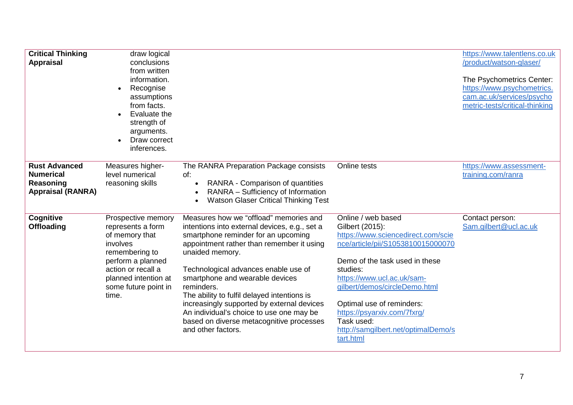| <b>Critical Thinking</b><br><b>Appraisal</b>                                      | draw logical<br>conclusions<br>from written<br>information.<br>Recognise<br>assumptions<br>from facts.<br>Evaluate the<br>$\bullet$<br>strength of<br>arguments.<br>Draw correct<br>inferences. |                                                                                                                                                                                                                                                                                                                                                                                                                                                                                                    |                                                                                                                                                                                                                                                                                                                                                             | https://www.talentlens.co.uk<br>/product/watson-glaser/<br>The Psychometrics Center:<br>https://www.psychometrics.<br>cam.ac.uk/services/psycho<br>metric-tests/critical-thinking |
|-----------------------------------------------------------------------------------|-------------------------------------------------------------------------------------------------------------------------------------------------------------------------------------------------|----------------------------------------------------------------------------------------------------------------------------------------------------------------------------------------------------------------------------------------------------------------------------------------------------------------------------------------------------------------------------------------------------------------------------------------------------------------------------------------------------|-------------------------------------------------------------------------------------------------------------------------------------------------------------------------------------------------------------------------------------------------------------------------------------------------------------------------------------------------------------|-----------------------------------------------------------------------------------------------------------------------------------------------------------------------------------|
| <b>Rust Advanced</b><br><b>Numerical</b><br>Reasoning<br><b>Appraisal (RANRA)</b> | Measures higher-<br>level numerical<br>reasoning skills                                                                                                                                         | The RANRA Preparation Package consists<br>of:<br>RANRA - Comparison of quantities<br>$\bullet$<br>RANRA - Sufficiency of Information<br><b>Watson Glaser Critical Thinking Test</b>                                                                                                                                                                                                                                                                                                                | Online tests                                                                                                                                                                                                                                                                                                                                                | https://www.assessment-<br>training.com/ranra                                                                                                                                     |
| Cognitive<br><b>Offloading</b>                                                    | Prospective memory<br>represents a form<br>of memory that<br>involves<br>remembering to<br>perform a planned<br>action or recall a<br>planned intention at<br>some future point in<br>time.     | Measures how we "offload" memories and<br>intentions into external devices, e.g., set a<br>smartphone reminder for an upcoming<br>appointment rather than remember it using<br>unaided memory.<br>Technological advances enable use of<br>smartphone and wearable devices<br>reminders.<br>The ability to fulfil delayed intentions is<br>increasingly supported by external devices<br>An individual's choice to use one may be<br>based on diverse metacognitive processes<br>and other factors. | Online / web based<br>Gilbert (2015):<br>https://www.sciencedirect.com/scie<br>nce/article/pii/S1053810015000070<br>Demo of the task used in these<br>studies:<br>https://www.ucl.ac.uk/sam-<br>gilbert/demos/circleDemo.html<br>Optimal use of reminders:<br>https://psyarxiv.com/7fxrg/<br>Task used:<br>http://samgilbert.net/optimalDemo/s<br>tart.html | Contact person:<br>Sam.gilbert@ucl.ac.uk                                                                                                                                          |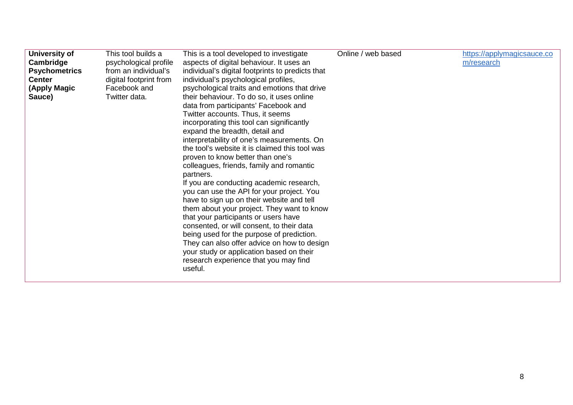| University of        | This tool builds a     | This is a tool developed to investigate          | Online / web based | https://applymagicsauce.co |
|----------------------|------------------------|--------------------------------------------------|--------------------|----------------------------|
| Cambridge            | psychological profile  | aspects of digital behaviour. It uses an         |                    | m/research                 |
| <b>Psychometrics</b> | from an individual's   | individual's digital footprints to predicts that |                    |                            |
| <b>Center</b>        | digital footprint from | individual's psychological profiles,             |                    |                            |
| (Apply Magic         | Facebook and           | psychological traits and emotions that drive     |                    |                            |
|                      |                        |                                                  |                    |                            |
| Sauce)               | Twitter data.          | their behaviour. To do so, it uses online        |                    |                            |
|                      |                        | data from participants' Facebook and             |                    |                            |
|                      |                        | Twitter accounts. Thus, it seems                 |                    |                            |
|                      |                        | incorporating this tool can significantly        |                    |                            |
|                      |                        | expand the breadth, detail and                   |                    |                            |
|                      |                        | interpretability of one's measurements. On       |                    |                            |
|                      |                        | the tool's website it is claimed this tool was   |                    |                            |
|                      |                        | proven to know better than one's                 |                    |                            |
|                      |                        | colleagues, friends, family and romantic         |                    |                            |
|                      |                        | partners.                                        |                    |                            |
|                      |                        | If you are conducting academic research,         |                    |                            |
|                      |                        | you can use the API for your project. You        |                    |                            |
|                      |                        | have to sign up on their website and tell        |                    |                            |
|                      |                        | them about your project. They want to know       |                    |                            |
|                      |                        | that your participants or users have             |                    |                            |
|                      |                        | consented, or will consent, to their data        |                    |                            |
|                      |                        | being used for the purpose of prediction.        |                    |                            |
|                      |                        |                                                  |                    |                            |
|                      |                        | They can also offer advice on how to design      |                    |                            |
|                      |                        | your study or application based on their         |                    |                            |
|                      |                        | research experience that you may find            |                    |                            |
|                      |                        | useful.                                          |                    |                            |
|                      |                        |                                                  |                    |                            |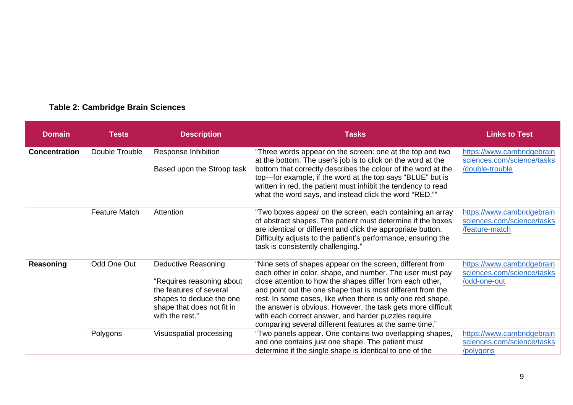## **Table 2: Cambridge Brain Sciences**

| <b>Domain</b>        | <b>Tests</b>         | <b>Description</b>                                                                                                                                              | <b>Tasks</b>                                                                                                                                                                                                                                                                                                                                                                                                                                                                                         | <b>Links to Test</b>                                                        |
|----------------------|----------------------|-----------------------------------------------------------------------------------------------------------------------------------------------------------------|------------------------------------------------------------------------------------------------------------------------------------------------------------------------------------------------------------------------------------------------------------------------------------------------------------------------------------------------------------------------------------------------------------------------------------------------------------------------------------------------------|-----------------------------------------------------------------------------|
| <b>Concentration</b> | Double Trouble       | Response Inhibition<br>Based upon the Stroop task                                                                                                               | "Three words appear on the screen: one at the top and two<br>at the bottom. The user's job is to click on the word at the<br>bottom that correctly describes the colour of the word at the<br>top-for example, if the word at the top says "BLUE" but is<br>written in red, the patient must inhibit the tendency to read<br>what the word says, and instead click the word "RED.""                                                                                                                  | https://www.cambridgebrain<br>sciences.com/science/tasks<br>/double-trouble |
|                      | <b>Feature Match</b> | Attention                                                                                                                                                       | "Two boxes appear on the screen, each containing an array<br>of abstract shapes. The patient must determine if the boxes<br>are identical or different and click the appropriate button.<br>Difficulty adjusts to the patient's performance, ensuring the<br>task is consistently challenging."                                                                                                                                                                                                      | https://www.cambridgebrain<br>sciences.com/science/tasks<br>/feature-match  |
| Reasoning            | Odd One Out          | <b>Deductive Reasoning</b><br>"Requires reasoning about<br>the features of several<br>shapes to deduce the one<br>shape that does not fit in<br>with the rest." | "Nine sets of shapes appear on the screen, different from<br>each other in color, shape, and number. The user must pay<br>close attention to how the shapes differ from each other,<br>and point out the one shape that is most different from the<br>rest. In some cases, like when there is only one red shape,<br>the answer is obvious. However, the task gets more difficult<br>with each correct answer, and harder puzzles require<br>comparing several different features at the same time." | https://www.cambridgebrain<br>sciences.com/science/tasks<br>/odd-one-out    |
|                      | Polygons             | Visuospatial processing                                                                                                                                         | "Two panels appear. One contains two overlapping shapes,<br>and one contains just one shape. The patient must<br>determine if the single shape is identical to one of the                                                                                                                                                                                                                                                                                                                            | https://www.cambridgebrain<br>sciences.com/science/tasks<br>/polygons       |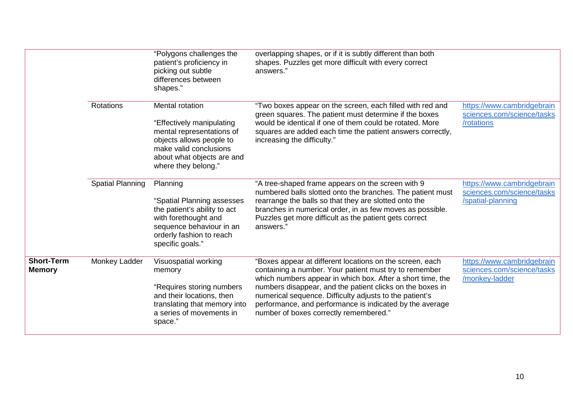|                                    |                         | "Polygons challenges the<br>patient's proficiency in<br>picking out subtle<br>differences between<br>shapes."                                                                               | overlapping shapes, or if it is subtly different than both<br>shapes. Puzzles get more difficult with every correct<br>answers."                                                                                                                                                                                                                                                                               |                                                                               |
|------------------------------------|-------------------------|---------------------------------------------------------------------------------------------------------------------------------------------------------------------------------------------|----------------------------------------------------------------------------------------------------------------------------------------------------------------------------------------------------------------------------------------------------------------------------------------------------------------------------------------------------------------------------------------------------------------|-------------------------------------------------------------------------------|
|                                    | Rotations               | <b>Mental rotation</b><br>"Effectively manipulating<br>mental representations of<br>objects allows people to<br>make valid conclusions<br>about what objects are and<br>where they belong." | "Two boxes appear on the screen, each filled with red and<br>green squares. The patient must determine if the boxes<br>would be identical if one of them could be rotated. More<br>squares are added each time the patient answers correctly,<br>increasing the difficulty."                                                                                                                                   | https://www.cambridgebrain<br>sciences.com/science/tasks<br>/rotations        |
|                                    | <b>Spatial Planning</b> | Planning<br>"Spatial Planning assesses<br>the patient's ability to act<br>with forethought and<br>sequence behaviour in an<br>orderly fashion to reach<br>specific goals."                  | "A tree-shaped frame appears on the screen with 9<br>numbered balls slotted onto the branches. The patient must<br>rearrange the balls so that they are slotted onto the<br>branches in numerical order, in as few moves as possible.<br>Puzzles get more difficult as the patient gets correct<br>answers."                                                                                                   | https://www.cambridgebrain<br>sciences.com/science/tasks<br>/spatial-planning |
| <b>Short-Term</b><br><b>Memory</b> | Monkey Ladder           | Visuospatial working<br>memory<br>"Requires storing numbers<br>and their locations, then<br>translating that memory into<br>a series of movements in<br>space."                             | "Boxes appear at different locations on the screen, each<br>containing a number. Your patient must try to remember<br>which numbers appear in which box. After a short time, the<br>numbers disappear, and the patient clicks on the boxes in<br>numerical sequence. Difficulty adjusts to the patient's<br>performance, and performance is indicated by the average<br>number of boxes correctly remembered." | https://www.cambridgebrain<br>sciences.com/science/tasks<br>/monkey-ladder    |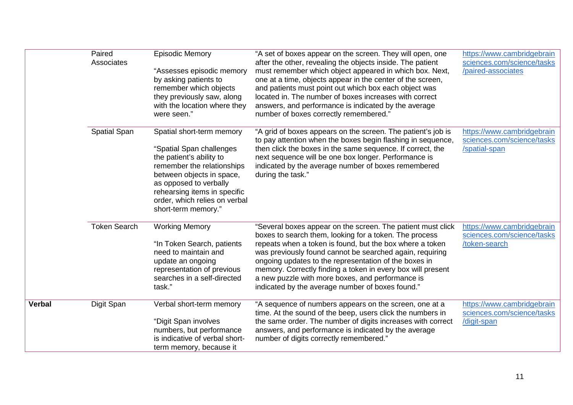|               | Paired<br>Associates | <b>Episodic Memory</b><br>"Assesses episodic memory<br>by asking patients to<br>remember which objects<br>they previously saw, along<br>with the location where they<br>were seen."                                                                            | "A set of boxes appear on the screen. They will open, one<br>after the other, revealing the objects inside. The patient<br>must remember which object appeared in which box. Next,<br>one at a time, objects appear in the center of the screen,<br>and patients must point out which box each object was<br>located in. The number of boxes increases with correct<br>answers, and performance is indicated by the average<br>number of boxes correctly remembered."         | https://www.cambridgebrain<br>sciences.com/science/tasks<br>/paired-associates |
|---------------|----------------------|----------------------------------------------------------------------------------------------------------------------------------------------------------------------------------------------------------------------------------------------------------------|-------------------------------------------------------------------------------------------------------------------------------------------------------------------------------------------------------------------------------------------------------------------------------------------------------------------------------------------------------------------------------------------------------------------------------------------------------------------------------|--------------------------------------------------------------------------------|
|               | Spatial Span         | Spatial short-term memory<br>"Spatial Span challenges<br>the patient's ability to<br>remember the relationships<br>between objects in space,<br>as opposed to verbally<br>rehearsing items in specific<br>order, which relies on verbal<br>short-term memory." | "A grid of boxes appears on the screen. The patient's job is<br>to pay attention when the boxes begin flashing in sequence,<br>then click the boxes in the same sequence. If correct, the<br>next sequence will be one box longer. Performance is<br>indicated by the average number of boxes remembered<br>during the task."                                                                                                                                                 | https://www.cambridgebrain<br>sciences.com/science/tasks<br>/spatial-span      |
|               | <b>Token Search</b>  | <b>Working Memory</b><br>"In Token Search, patients<br>need to maintain and<br>update an ongoing<br>representation of previous<br>searches in a self-directed<br>task."                                                                                        | "Several boxes appear on the screen. The patient must click<br>boxes to search them, looking for a token. The process<br>repeats when a token is found, but the box where a token<br>was previously found cannot be searched again, requiring<br>ongoing updates to the representation of the boxes in<br>memory. Correctly finding a token in every box will present<br>a new puzzle with more boxes, and performance is<br>indicated by the average number of boxes found." | https://www.cambridgebrain<br>sciences.com/science/tasks<br>/token-search      |
| <b>Verbal</b> | Digit Span           | Verbal short-term memory<br>"Digit Span involves<br>numbers, but performance<br>is indicative of verbal short-<br>term memory, because it                                                                                                                      | "A sequence of numbers appears on the screen, one at a<br>time. At the sound of the beep, users click the numbers in<br>the same order. The number of digits increases with correct<br>answers, and performance is indicated by the average<br>number of digits correctly remembered."                                                                                                                                                                                        | https://www.cambridgebrain<br>sciences.com/science/tasks<br>/digit-span        |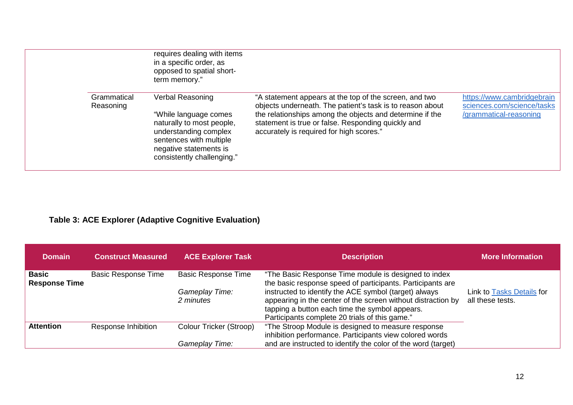|                          | requires dealing with items<br>in a specific order, as<br>opposed to spatial short-<br>term memory."                                                                                      |                                                                                                                                                                                                                                                                                   |                                                                                    |
|--------------------------|-------------------------------------------------------------------------------------------------------------------------------------------------------------------------------------------|-----------------------------------------------------------------------------------------------------------------------------------------------------------------------------------------------------------------------------------------------------------------------------------|------------------------------------------------------------------------------------|
| Grammatical<br>Reasoning | <b>Verbal Reasoning</b><br>"While language comes<br>naturally to most people,<br>understanding complex<br>sentences with multiple<br>negative statements is<br>consistently challenging." | "A statement appears at the top of the screen, and two<br>objects underneath. The patient's task is to reason about<br>the relationships among the objects and determine if the<br>statement is true or false. Responding quickly and<br>accurately is required for high scores." | https://www.cambridgebrain<br>sciences.com/science/tasks<br>/grammatical-reasoning |

## **Table 3: ACE Explorer (Adaptive Cognitive Evaluation)**

| <b>Domain</b>                        | <b>Construct Measured</b>  | <b>ACE Explorer Task</b>    | <b>Description</b>                                                                                                                                                                                                        | <b>More Information</b>                       |
|--------------------------------------|----------------------------|-----------------------------|---------------------------------------------------------------------------------------------------------------------------------------------------------------------------------------------------------------------------|-----------------------------------------------|
| <b>Basic</b><br><b>Response Time</b> | <b>Basic Response Time</b> | <b>Basic Response Time</b>  | "The Basic Response Time module is designed to index<br>the basic response speed of participants. Participants are                                                                                                        |                                               |
|                                      |                            | Gameplay Time:<br>2 minutes | instructed to identify the ACE symbol (target) always<br>appearing in the center of the screen without distraction by<br>tapping a button each time the symbol appears.<br>Participants complete 20 trials of this game." | Link to Tasks Details for<br>all these tests. |
| <b>Attention</b>                     | Response Inhibition        | Colour Tricker (Stroop)     | "The Stroop Module is designed to measure response                                                                                                                                                                        |                                               |
|                                      |                            |                             | inhibition performance. Participants view colored words                                                                                                                                                                   |                                               |
|                                      |                            | Gameplav Time:              | and are instructed to identify the color of the word (target)                                                                                                                                                             |                                               |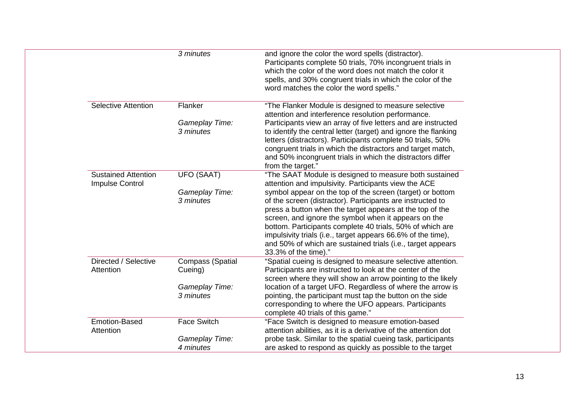|                                               | 3 minutes                          | and ignore the color the word spells (distractor).<br>Participants complete 50 trials, 70% incongruent trials in<br>which the color of the word does not match the color it<br>spells, and 30% congruent trials in which the color of the<br>word matches the color the word spells."                                                                                                                                                                           |
|-----------------------------------------------|------------------------------------|-----------------------------------------------------------------------------------------------------------------------------------------------------------------------------------------------------------------------------------------------------------------------------------------------------------------------------------------------------------------------------------------------------------------------------------------------------------------|
| <b>Selective Attention</b>                    | Flanker                            | "The Flanker Module is designed to measure selective<br>attention and interference resolution performance.                                                                                                                                                                                                                                                                                                                                                      |
|                                               | Gameplay Time:<br>3 minutes        | Participants view an array of five letters and are instructed<br>to identify the central letter (target) and ignore the flanking<br>letters (distractors). Participants complete 50 trials, 50%<br>congruent trials in which the distractors and target match,<br>and 50% incongruent trials in which the distractors differ<br>from the target."                                                                                                               |
| <b>Sustained Attention</b><br>Impulse Control | <b>UFO (SAAT)</b>                  | "The SAAT Module is designed to measure both sustained<br>attention and impulsivity. Participants view the ACE                                                                                                                                                                                                                                                                                                                                                  |
|                                               | Gameplay Time:<br>3 minutes        | symbol appear on the top of the screen (target) or bottom<br>of the screen (distractor). Participants are instructed to<br>press a button when the target appears at the top of the<br>screen, and ignore the symbol when it appears on the<br>bottom. Participants complete 40 trials, 50% of which are<br>impulsivity trials (i.e., target appears 66.6% of the time),<br>and 50% of which are sustained trials (i.e., target appears<br>33.3% of the time)." |
| Directed / Selective<br>Attention             | <b>Compass (Spatial</b><br>Cueing) | "Spatial cueing is designed to measure selective attention.<br>Participants are instructed to look at the center of the<br>screen where they will show an arrow pointing to the likely                                                                                                                                                                                                                                                                          |
|                                               | Gameplay Time:<br>3 minutes        | location of a target UFO. Regardless of where the arrow is<br>pointing, the participant must tap the button on the side<br>corresponding to where the UFO appears. Participants<br>complete 40 trials of this game."                                                                                                                                                                                                                                            |
| <b>Emotion-Based</b><br>Attention             | <b>Face Switch</b>                 | "Face Switch is designed to measure emotion-based<br>attention abilities, as it is a derivative of the attention dot                                                                                                                                                                                                                                                                                                                                            |
|                                               | <b>Gameplay Time:</b>              | probe task. Similar to the spatial cueing task, participants                                                                                                                                                                                                                                                                                                                                                                                                    |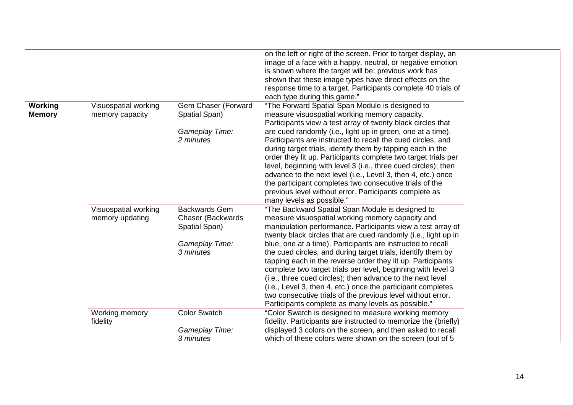|                          |                                         |                                                                                                   | on the left or right of the screen. Prior to target display, an<br>image of a face with a happy, neutral, or negative emotion<br>is shown where the target will be; previous work has<br>shown that these image types have direct effects on the<br>response time to a target. Participants complete 40 trials of<br>each type during this game."                                                                                                                                                                                                                                                                                                                                                                                                      |
|--------------------------|-----------------------------------------|---------------------------------------------------------------------------------------------------|--------------------------------------------------------------------------------------------------------------------------------------------------------------------------------------------------------------------------------------------------------------------------------------------------------------------------------------------------------------------------------------------------------------------------------------------------------------------------------------------------------------------------------------------------------------------------------------------------------------------------------------------------------------------------------------------------------------------------------------------------------|
| Working<br><b>Memory</b> | Visuospatial working<br>memory capacity | Gem Chaser (Forward<br>Spatial Span)<br>Gameplay Time:<br>2 minutes                               | "The Forward Spatial Span Module is designed to<br>measure visuospatial working memory capacity.<br>Participants view a test array of twenty black circles that<br>are cued randomly (i.e., light up in green, one at a time).<br>Participants are instructed to recall the cued circles, and<br>during target trials, identify them by tapping each in the<br>order they lit up. Participants complete two target trials per<br>level, beginning with level 3 (i.e., three cued circles); then<br>advance to the next level (i.e., Level 3, then 4, etc.) once<br>the participant completes two consecutive trials of the<br>previous level without error. Participants complete as<br>many levels as possible."                                      |
|                          | Visuospatial working<br>memory updating | <b>Backwards Gem</b><br><b>Chaser (Backwards)</b><br>Spatial Span)<br>Gameplay Time:<br>3 minutes | "The Backward Spatial Span Module is designed to<br>measure visuospatial working memory capacity and<br>manipulation performance. Participants view a test array of<br>twenty black circles that are cued randomly (i.e., light up in<br>blue, one at a time). Participants are instructed to recall<br>the cued circles, and during target trials, identify them by<br>tapping each in the reverse order they lit up. Participants<br>complete two target trials per level, beginning with level 3<br>(i.e., three cued circles); then advance to the next level<br>(i.e., Level 3, then 4, etc.) once the participant completes<br>two consecutive trials of the previous level without error.<br>Participants complete as many levels as possible." |
|                          | Working memory<br>fidelity              | <b>Color Swatch</b><br>Gameplay Time:<br>3 minutes                                                | "Color Swatch is designed to measure working memory<br>fidelity. Participants are instructed to memorize the (briefly)<br>displayed 3 colors on the screen, and then asked to recall<br>which of these colors were shown on the screen (out of 5                                                                                                                                                                                                                                                                                                                                                                                                                                                                                                       |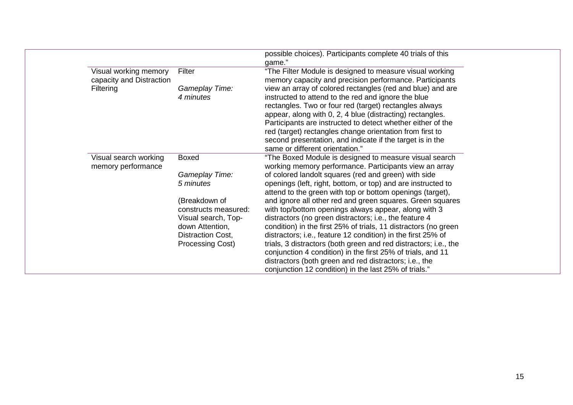|                          |                      | possible choices). Participants complete 40 trials of this         |
|--------------------------|----------------------|--------------------------------------------------------------------|
| Visual working memory    | Filter               | game."<br>"The Filter Module is designed to measure visual working |
| capacity and Distraction |                      | memory capacity and precision performance. Participants            |
| Filtering                | Gameplay Time:       | view an array of colored rectangles (red and blue) and are         |
|                          | 4 minutes            | instructed to attend to the red and ignore the blue                |
|                          |                      | rectangles. Two or four red (target) rectangles always             |
|                          |                      | appear, along with 0, 2, 4 blue (distracting) rectangles.          |
|                          |                      | Participants are instructed to detect whether either of the        |
|                          |                      | red (target) rectangles change orientation from first to           |
|                          |                      | second presentation, and indicate if the target is in the          |
|                          |                      | same or different orientation."                                    |
| Visual search working    | <b>Boxed</b>         | "The Boxed Module is designed to measure visual search             |
| memory performance       |                      | working memory performance. Participants view an array             |
|                          | Gameplay Time:       | of colored landolt squares (red and green) with side               |
|                          | 5 minutes            | openings (left, right, bottom, or top) and are instructed to       |
|                          |                      | attend to the green with top or bottom openings (target),          |
|                          | (Breakdown of        | and ignore all other red and green squares. Green squares          |
|                          | constructs measured: | with top/bottom openings always appear, along with 3               |
|                          | Visual search, Top-  | distractors (no green distractors; i.e., the feature 4             |
|                          | down Attention,      | condition) in the first 25% of trials, 11 distractors (no green    |
|                          | Distraction Cost,    | distractors; i.e., feature 12 condition) in the first 25% of       |
|                          | Processing Cost)     | trials, 3 distractors (both green and red distractors; i.e., the   |
|                          |                      | conjunction 4 condition) in the first 25% of trials, and 11        |
|                          |                      | distractors (both green and red distractors; i.e., the             |
|                          |                      | conjunction 12 condition) in the last 25% of trials."              |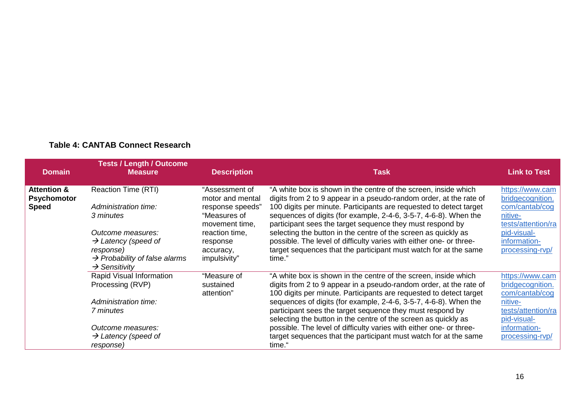| <b>Domain</b>                                | <b>Tests / Length / Outcome</b><br><b>Measure</b>                                   | <b>Description</b>                                 | <b>Task</b>                                                                                                                                                                                                 | <b>Link to Test</b>                                   |
|----------------------------------------------|-------------------------------------------------------------------------------------|----------------------------------------------------|-------------------------------------------------------------------------------------------------------------------------------------------------------------------------------------------------------------|-------------------------------------------------------|
| <b>Attention &amp;</b><br><b>Psychomotor</b> | Reaction Time (RTI)                                                                 | "Assessment of<br>motor and mental                 | "A white box is shown in the centre of the screen, inside which<br>digits from 2 to 9 appear in a pseudo-random order, at the rate of                                                                       | https://www.cam<br>bridgecognition.                   |
| <b>Speed</b>                                 | Administration time:<br>3 minutes                                                   | response speeds"<br>"Measures of<br>movement time, | 100 digits per minute. Participants are requested to detect target<br>sequences of digits (for example, 2-4-6, 3-5-7, 4-6-8). When the<br>participant sees the target sequence they must respond by         | com/cantab/cog<br>nitive-<br>tests/attention/ra       |
|                                              | Outcome measures:<br>$\rightarrow$ Latency (speed of                                | reaction time,<br>response                         | selecting the button in the centre of the screen as quickly as<br>possible. The level of difficulty varies with either one- or three-                                                                       | pid-visual-<br>information-                           |
|                                              | response)<br>$\rightarrow$ Probability of false alarms<br>$\rightarrow$ Sensitivity | accuracy,<br>impulsivity"                          | target sequences that the participant must watch for at the same<br>time."                                                                                                                                  | processing-rvp/                                       |
|                                              | Rapid Visual Information<br>Processing (RVP)                                        | "Measure of<br>sustained<br>attention"             | "A white box is shown in the centre of the screen, inside which<br>digits from 2 to 9 appear in a pseudo-random order, at the rate of<br>100 digits per minute. Participants are requested to detect target | https://www.cam<br>bridgecognition.<br>com/cantab/cog |
|                                              | Administration time:                                                                |                                                    | sequences of digits (for example, 2-4-6, 3-5-7, 4-6-8). When the                                                                                                                                            | nitive-                                               |
|                                              | 7 minutes                                                                           |                                                    | participant sees the target sequence they must respond by<br>selecting the button in the centre of the screen as quickly as                                                                                 | tests/attention/ra<br>pid-visual-                     |
|                                              | Outcome measures:                                                                   |                                                    | possible. The level of difficulty varies with either one- or three-                                                                                                                                         | information-                                          |
|                                              | $\rightarrow$ Latency (speed of<br>response)                                        |                                                    | target sequences that the participant must watch for at the same<br>time."                                                                                                                                  | processing-rvp/                                       |

#### **Table 4: CANTAB Connect Research**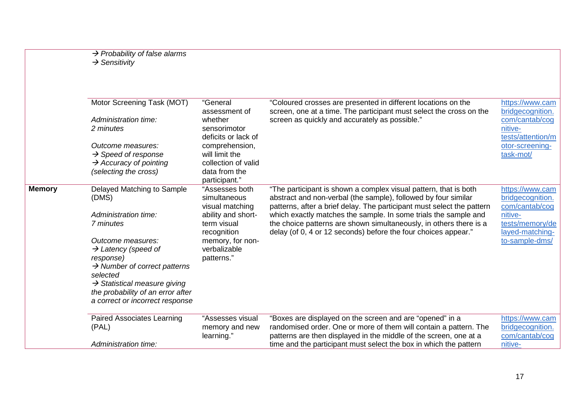|               | $\rightarrow$ Probability of false alarms<br>$\rightarrow$ Sensitivity                                                                                                                                                                                                                                                    |                                                                                                                                                         |                                                                                                                                                                                                                                                                                                                                                                                                                         |                                                                                                                          |
|---------------|---------------------------------------------------------------------------------------------------------------------------------------------------------------------------------------------------------------------------------------------------------------------------------------------------------------------------|---------------------------------------------------------------------------------------------------------------------------------------------------------|-------------------------------------------------------------------------------------------------------------------------------------------------------------------------------------------------------------------------------------------------------------------------------------------------------------------------------------------------------------------------------------------------------------------------|--------------------------------------------------------------------------------------------------------------------------|
|               | Motor Screening Task (MOT)<br>Administration time:<br>2 minutes<br>Outcome measures:<br>$\rightarrow$ Speed of response<br>$\rightarrow$ Accuracy of pointing                                                                                                                                                             | "General<br>assessment of<br>whether<br>sensorimotor<br>deficits or lack of<br>comprehension,<br>will limit the<br>collection of valid                  | "Coloured crosses are presented in different locations on the<br>screen, one at a time. The participant must select the cross on the<br>screen as quickly and accurately as possible."                                                                                                                                                                                                                                  | https://www.cam<br>bridgecognition.<br>com/cantab/cog<br>nitive-<br>tests/attention/m<br>otor-screening-<br>task-mot/    |
|               | (selecting the cross)                                                                                                                                                                                                                                                                                                     | data from the<br>participant."                                                                                                                          |                                                                                                                                                                                                                                                                                                                                                                                                                         |                                                                                                                          |
| <b>Memory</b> | Delayed Matching to Sample<br>(DMS)<br>Administration time:<br>7 minutes<br>Outcome measures:<br>$\rightarrow$ Latency (speed of<br>response)<br>$\rightarrow$ Number of correct patterns<br>selected<br>$\rightarrow$ Statistical measure giving<br>the probability of an error after<br>a correct or incorrect response | "Assesses both<br>simultaneous<br>visual matching<br>ability and short-<br>term visual<br>recognition<br>memory, for non-<br>verbalizable<br>patterns." | "The participant is shown a complex visual pattern, that is both<br>abstract and non-verbal (the sample), followed by four similar<br>patterns, after a brief delay. The participant must select the pattern<br>which exactly matches the sample. In some trials the sample and<br>the choice patterns are shown simultaneously, in others there is a<br>delay (of 0, 4 or 12 seconds) before the four choices appear." | https://www.cam<br>bridgecognition.<br>com/cantab/cog<br>nitive-<br>tests/memory/de<br>layed-matching-<br>to-sample-dms/ |
|               | <b>Paired Associates Learning</b><br>(PAL)                                                                                                                                                                                                                                                                                | "Assesses visual<br>memory and new<br>learning."                                                                                                        | "Boxes are displayed on the screen and are "opened" in a<br>randomised order. One or more of them will contain a pattern. The<br>patterns are then displayed in the middle of the screen, one at a                                                                                                                                                                                                                      | https://www.cam<br>bridgecognition.<br>com/cantab/cog                                                                    |
|               | Administration time:                                                                                                                                                                                                                                                                                                      |                                                                                                                                                         | time and the participant must select the box in which the pattern                                                                                                                                                                                                                                                                                                                                                       | nitive-                                                                                                                  |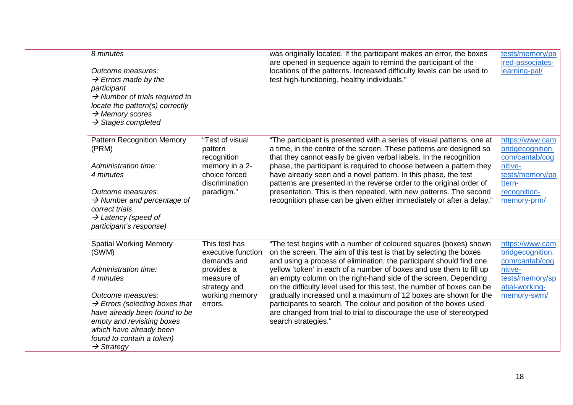| 8 minutes                                                                                                                                                                                                              |                                                    | was originally located. If the participant makes an error, the boxes                                                                                                                                                                  | tests/memory/pa                                       |
|------------------------------------------------------------------------------------------------------------------------------------------------------------------------------------------------------------------------|----------------------------------------------------|---------------------------------------------------------------------------------------------------------------------------------------------------------------------------------------------------------------------------------------|-------------------------------------------------------|
| Outcome measures:<br>$\rightarrow$ Errors made by the<br>participant<br>$\rightarrow$ Number of trials required to<br>locate the pattern(s) correctly<br>$\rightarrow$ Memory scores<br>$\rightarrow$ Stages completed |                                                    | are opened in sequence again to remind the participant of the<br>locations of the patterns. Increased difficulty levels can be used to<br>test high-functioning, healthy individuals."                                                | ired-associates-<br>learning-pal/                     |
| <b>Pattern Recognition Memory</b><br>(PRM)                                                                                                                                                                             | "Test of visual<br>pattern<br>recognition          | "The participant is presented with a series of visual patterns, one at<br>a time, in the centre of the screen. These patterns are designed so<br>that they cannot easily be given verbal labels. In the recognition                   | https://www.cam<br>bridgecognition.<br>com/cantab/cog |
| Administration time:<br>4 minutes                                                                                                                                                                                      | memory in a 2-<br>choice forced<br>discrimination  | phase, the participant is required to choose between a pattern they<br>have already seen and a novel pattern. In this phase, the test<br>patterns are presented in the reverse order to the original order of                         | nitive-<br>tests/memory/pa<br>ttern-                  |
| Outcome measures:<br>$\rightarrow$ Number and percentage of<br>correct trials<br>$\rightarrow$ Latency (speed of<br>participant's response)                                                                            | paradigm."                                         | presentation. This is then repeated, with new patterns. The second<br>recognition phase can be given either immediately or after a delay."                                                                                            | recognition-<br>memory-prm/                           |
| <b>Spatial Working Memory</b><br>(SWM)                                                                                                                                                                                 | This test has<br>executive function<br>demands and | "The test begins with a number of coloured squares (boxes) shown<br>on the screen. The aim of this test is that by selecting the boxes<br>and using a process of elimination, the participant should find one                         | https://www.cam<br>bridgecognition.<br>com/cantab/cog |
| Administration time:<br>4 minutes                                                                                                                                                                                      | provides a<br>measure of<br>strategy and           | yellow 'token' in each of a number of boxes and use them to fill up<br>an empty column on the right-hand side of the screen. Depending<br>on the difficulty level used for this test, the number of boxes can be                      | nitive-<br>tests/memory/sp<br>atial-working-          |
| Outcome measures:<br>$\rightarrow$ Errors (selecting boxes that<br>have already been found to be<br>empty and revisiting boxes<br>which have already been<br>found to contain a token)<br>$\rightarrow$ Strategy       | working memory<br>errors.                          | gradually increased until a maximum of 12 boxes are shown for the<br>participants to search. The colour and position of the boxes used<br>are changed from trial to trial to discourage the use of stereotyped<br>search strategies." | memory-swm/                                           |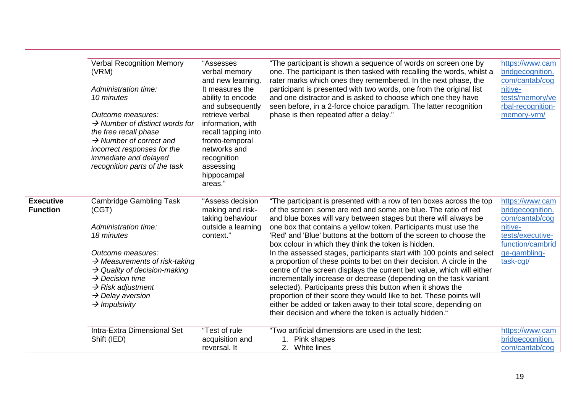|                  | <b>Verbal Recognition Memory</b><br>(VRM)                               | "Assesses<br>verbal memory<br>and new learning. | "The participant is shown a sequence of words on screen one by<br>one. The participant is then tasked with recalling the words, whilst a<br>rater marks which ones they remembered. In the next phase, the | https://www.cam<br>bridgecognition.<br>com/cantab/cog |
|------------------|-------------------------------------------------------------------------|-------------------------------------------------|------------------------------------------------------------------------------------------------------------------------------------------------------------------------------------------------------------|-------------------------------------------------------|
|                  | Administration time:<br>10 minutes                                      | It measures the<br>ability to encode            | participant is presented with two words, one from the original list<br>and one distractor and is asked to choose which one they have                                                                       | nitive-<br>tests/memory/ve                            |
|                  | Outcome measures:                                                       | and subsequently<br>retrieve verbal             | seen before, in a 2-force choice paradigm. The latter recognition                                                                                                                                          | rbal-recognition-                                     |
|                  | $\rightarrow$ Number of distinct words for                              | information, with                               | phase is then repeated after a delay."                                                                                                                                                                     | memory-vrm/                                           |
|                  | the free recall phase<br>$\rightarrow$ Number of correct and            | recall tapping into<br>fronto-temporal          |                                                                                                                                                                                                            |                                                       |
|                  | incorrect responses for the<br>immediate and delayed                    | networks and<br>recognition                     |                                                                                                                                                                                                            |                                                       |
|                  | recognition parts of the task                                           | assessing<br>hippocampal                        |                                                                                                                                                                                                            |                                                       |
|                  |                                                                         | areas."                                         |                                                                                                                                                                                                            |                                                       |
| <b>Executive</b> | <b>Cambridge Gambling Task</b>                                          | "Assess decision                                | "The participant is presented with a row of ten boxes across the top                                                                                                                                       | https://www.cam                                       |
| <b>Function</b>  | (CGT)                                                                   | making and risk-<br>taking behaviour            | of the screen: some are red and some are blue. The ratio of red<br>and blue boxes will vary between stages but there will always be                                                                        | bridgecognition.<br>com/cantab/cog                    |
|                  | Administration time:<br>18 minutes                                      | outside a learning<br>context."                 | one box that contains a yellow token. Participants must use the<br>'Red' and 'Blue' buttons at the bottom of the screen to choose the                                                                      | nitive-<br>tests/executive-                           |
|                  |                                                                         |                                                 | box colour in which they think the token is hidden.                                                                                                                                                        | function/cambrid                                      |
|                  | Outcome measures:<br>$\rightarrow$ Measurements of risk-taking          |                                                 | In the assessed stages, participants start with 100 points and select<br>a proportion of these points to bet on their decision. A circle in the                                                            | ge-gambling-<br>task-cgt/                             |
|                  | $\rightarrow$ Quality of decision-making<br>$\rightarrow$ Decision time |                                                 | centre of the screen displays the current bet value, which will either<br>incrementally increase or decrease (depending on the task variant                                                                |                                                       |
|                  | $\rightarrow$ Risk adjustment                                           |                                                 | selected). Participants press this button when it shows the                                                                                                                                                |                                                       |
|                  | $\rightarrow$ Delay aversion<br>$\rightarrow$ Impulsivity               |                                                 | proportion of their score they would like to bet. These points will<br>either be added or taken away to their total score, depending on                                                                    |                                                       |
|                  |                                                                         |                                                 | their decision and where the token is actually hidden."                                                                                                                                                    |                                                       |
|                  | Intra-Extra Dimensional Set<br>Shift (IED)                              | "Test of rule<br>acquisition and                | "Two artificial dimensions are used in the test:<br>1. Pink shapes                                                                                                                                         | https://www.cam<br>bridgecognition.                   |
|                  |                                                                         | reversal. It                                    | 2. White lines                                                                                                                                                                                             | com/cantab/cog                                        |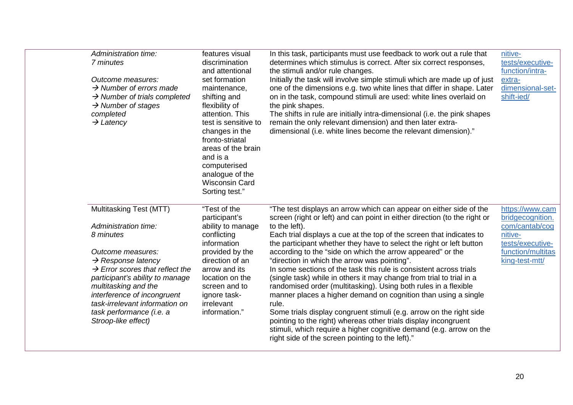| Administration time:<br>7 minutes<br>Outcome measures:<br>$\rightarrow$ Number of errors made<br>$\rightarrow$ Number of trials completed<br>$\rightarrow$ Number of stages<br>completed<br>$\rightarrow$ Latency                                                                                                                                 | features visual<br>discrimination<br>and attentional<br>set formation<br>maintenance,<br>shifting and<br>flexibility of<br>attention. This<br>test is sensitive to<br>changes in the<br>fronto-striatal<br>areas of the brain<br>and is a<br>computerised<br>analogue of the<br><b>Wisconsin Card</b><br>Sorting test." | In this task, participants must use feedback to work out a rule that<br>determines which stimulus is correct. After six correct responses,<br>the stimuli and/or rule changes.<br>Initially the task will involve simple stimuli which are made up of just<br>one of the dimensions e.g. two white lines that differ in shape. Later<br>on in the task, compound stimuli are used: white lines overlaid on<br>the pink shapes.<br>The shifts in rule are initially intra-dimensional (i.e. the pink shapes<br>remain the only relevant dimension) and then later extra-<br>dimensional (i.e. white lines become the relevant dimension)."                                                                                                                                                                                                                                                                                                                                                       | nitive-<br>tests/executive-<br>function/intra-<br>extra-<br>dimensional-set-<br>shift-ied/                                  |
|---------------------------------------------------------------------------------------------------------------------------------------------------------------------------------------------------------------------------------------------------------------------------------------------------------------------------------------------------|-------------------------------------------------------------------------------------------------------------------------------------------------------------------------------------------------------------------------------------------------------------------------------------------------------------------------|-------------------------------------------------------------------------------------------------------------------------------------------------------------------------------------------------------------------------------------------------------------------------------------------------------------------------------------------------------------------------------------------------------------------------------------------------------------------------------------------------------------------------------------------------------------------------------------------------------------------------------------------------------------------------------------------------------------------------------------------------------------------------------------------------------------------------------------------------------------------------------------------------------------------------------------------------------------------------------------------------|-----------------------------------------------------------------------------------------------------------------------------|
| Multitasking Test (MTT)<br>Administration time:<br>8 minutes<br>Outcome measures:<br>$\rightarrow$ Response latency<br>$\rightarrow$ Error scores that reflect the<br>participant's ability to manage<br>multitasking and the<br>interference of incongruent<br>task-irrelevant information on<br>task performance (i.e. a<br>Stroop-like effect) | "Test of the<br>participant's<br>ability to manage<br>conflicting<br>information<br>provided by the<br>direction of an<br>arrow and its<br>location on the<br>screen and to<br>ignore task-<br>irrelevant<br>information."                                                                                              | "The test displays an arrow which can appear on either side of the<br>screen (right or left) and can point in either direction (to the right or<br>to the left).<br>Each trial displays a cue at the top of the screen that indicates to<br>the participant whether they have to select the right or left button<br>according to the "side on which the arrow appeared" or the<br>"direction in which the arrow was pointing".<br>In some sections of the task this rule is consistent across trials<br>(single task) while in others it may change from trial to trial in a<br>randomised order (multitasking). Using both rules in a flexible<br>manner places a higher demand on cognition than using a single<br>rule.<br>Some trials display congruent stimuli (e.g. arrow on the right side<br>pointing to the right) whereas other trials display incongruent<br>stimuli, which require a higher cognitive demand (e.g. arrow on the<br>right side of the screen pointing to the left)." | https://www.cam<br>bridgecognition.<br>com/cantab/cog<br>nitive-<br>tests/executive-<br>function/multitas<br>king-test-mtt/ |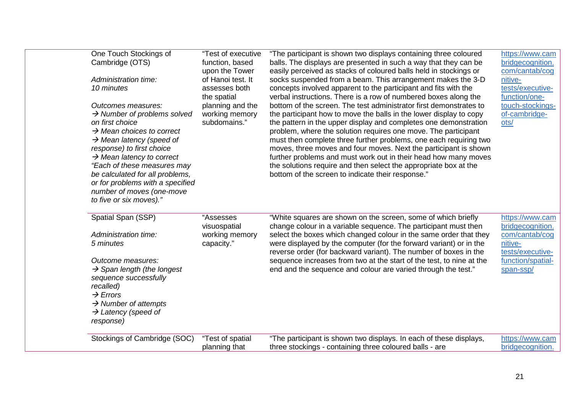| One Touch Stockings of<br>Cambridge (OTS)<br>Administration time:<br>10 minutes<br>Outcomes measures:<br>$\rightarrow$ Number of problems solved<br>on first choice<br>$\rightarrow$ Mean choices to correct<br>$\rightarrow$ Mean latency (speed of<br>response) to first choice<br>$\rightarrow$ Mean latency to correct<br>"Each of these measures may<br>be calculated for all problems,<br>or for problems with a specified | "Test of executive<br>function, based<br>upon the Tower<br>of Hanoi test. It<br>assesses both<br>the spatial<br>planning and the<br>working memory<br>subdomains." | "The participant is shown two displays containing three coloured<br>balls. The displays are presented in such a way that they can be<br>easily perceived as stacks of coloured balls held in stockings or<br>socks suspended from a beam. This arrangement makes the 3-D<br>concepts involved apparent to the participant and fits with the<br>verbal instructions. There is a row of numbered boxes along the<br>bottom of the screen. The test administrator first demonstrates to<br>the participant how to move the balls in the lower display to copy<br>the pattern in the upper display and completes one demonstration<br>problem, where the solution requires one move. The participant<br>must then complete three further problems, one each requiring two<br>moves, three moves and four moves. Next the participant is shown<br>further problems and must work out in their head how many moves<br>the solutions require and then select the appropriate box at the<br>bottom of the screen to indicate their response." | https://www.cam<br>bridgecognition.<br>com/cantab/cog<br>nitive-<br>tests/executive-<br>function/one-<br>touch-stockings-<br>of-cambridge-<br>ots/ |
|----------------------------------------------------------------------------------------------------------------------------------------------------------------------------------------------------------------------------------------------------------------------------------------------------------------------------------------------------------------------------------------------------------------------------------|--------------------------------------------------------------------------------------------------------------------------------------------------------------------|---------------------------------------------------------------------------------------------------------------------------------------------------------------------------------------------------------------------------------------------------------------------------------------------------------------------------------------------------------------------------------------------------------------------------------------------------------------------------------------------------------------------------------------------------------------------------------------------------------------------------------------------------------------------------------------------------------------------------------------------------------------------------------------------------------------------------------------------------------------------------------------------------------------------------------------------------------------------------------------------------------------------------------------|----------------------------------------------------------------------------------------------------------------------------------------------------|
| number of moves (one-move<br>to five or six moves)."<br>Spatial Span (SSP)<br>Administration time:<br>5 minutes                                                                                                                                                                                                                                                                                                                  | "Assesses<br>visuospatial<br>working memory<br>capacity."                                                                                                          | "White squares are shown on the screen, some of which briefly<br>change colour in a variable sequence. The participant must then<br>select the boxes which changed colour in the same order that they<br>were displayed by the computer (for the forward variant) or in the                                                                                                                                                                                                                                                                                                                                                                                                                                                                                                                                                                                                                                                                                                                                                           | https://www.cam<br>bridgecognition.<br>com/cantab/cog<br>nitive-                                                                                   |
| Outcome measures:<br>$\rightarrow$ Span length (the longest<br>sequence successfully<br>recalled)<br>$\rightarrow$ Errors<br>$\rightarrow$ Number of attempts<br>$\rightarrow$ Latency (speed of                                                                                                                                                                                                                                 |                                                                                                                                                                    | reverse order (for backward variant). The number of boxes in the<br>sequence increases from two at the start of the test, to nine at the<br>end and the sequence and colour are varied through the test."                                                                                                                                                                                                                                                                                                                                                                                                                                                                                                                                                                                                                                                                                                                                                                                                                             | tests/executive-<br>function/spatial-<br>span-ssp/                                                                                                 |
| response)<br>Stockings of Cambridge (SOC)                                                                                                                                                                                                                                                                                                                                                                                        | "Test of spatial<br>planning that                                                                                                                                  | "The participant is shown two displays. In each of these displays,<br>three stockings - containing three coloured balls - are                                                                                                                                                                                                                                                                                                                                                                                                                                                                                                                                                                                                                                                                                                                                                                                                                                                                                                         | https://www.cam<br>bridgecognition.                                                                                                                |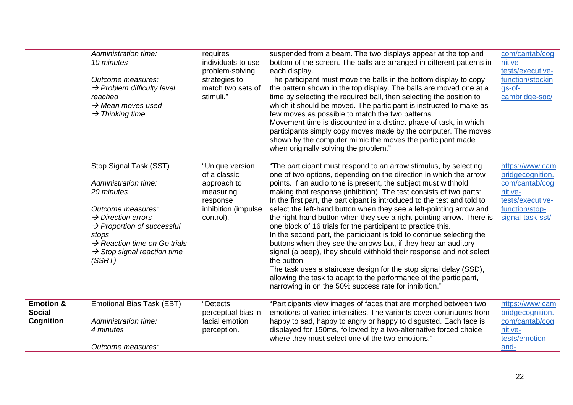|                                                    | Administration time:<br>10 minutes<br>Outcome measures:<br>$\rightarrow$ Problem difficulty level<br>reached<br>$\rightarrow$ Mean moves used<br>$\rightarrow$ Thinking time                                                                                            | requires<br>individuals to use<br>problem-solving<br>strategies to<br>match two sets of<br>stimuli."         | suspended from a beam. The two displays appear at the top and<br>bottom of the screen. The balls are arranged in different patterns in<br>each display.<br>The participant must move the balls in the bottom display to copy<br>the pattern shown in the top display. The balls are moved one at a<br>time by selecting the required ball, then selecting the position to<br>which it should be moved. The participant is instructed to make as<br>few moves as possible to match the two patterns.<br>Movement time is discounted in a distinct phase of task, in which<br>participants simply copy moves made by the computer. The moves<br>shown by the computer mimic the moves the participant made<br>when originally solving the problem."                                                                                                                                                                                                                                                            | com/cantab/cog<br>nitive-<br>tests/executive-<br>function/stockin<br>gs-of-<br>cambridge-soc/                              |
|----------------------------------------------------|-------------------------------------------------------------------------------------------------------------------------------------------------------------------------------------------------------------------------------------------------------------------------|--------------------------------------------------------------------------------------------------------------|--------------------------------------------------------------------------------------------------------------------------------------------------------------------------------------------------------------------------------------------------------------------------------------------------------------------------------------------------------------------------------------------------------------------------------------------------------------------------------------------------------------------------------------------------------------------------------------------------------------------------------------------------------------------------------------------------------------------------------------------------------------------------------------------------------------------------------------------------------------------------------------------------------------------------------------------------------------------------------------------------------------|----------------------------------------------------------------------------------------------------------------------------|
|                                                    | Stop Signal Task (SST)<br>Administration time:<br>20 minutes<br>Outcome measures:<br>$\rightarrow$ Direction errors<br>$\rightarrow$ Proportion of successful<br>stops<br>$\rightarrow$ Reaction time on Go trials<br>$\rightarrow$ Stop signal reaction time<br>(SSRT) | "Unique version<br>of a classic<br>approach to<br>measuring<br>response<br>inhibition (impulse<br>control)." | "The participant must respond to an arrow stimulus, by selecting<br>one of two options, depending on the direction in which the arrow<br>points. If an audio tone is present, the subject must withhold<br>making that response (inhibition). The test consists of two parts:<br>In the first part, the participant is introduced to the test and told to<br>select the left-hand button when they see a left-pointing arrow and<br>the right-hand button when they see a right-pointing arrow. There is<br>one block of 16 trials for the participant to practice this.<br>In the second part, the participant is told to continue selecting the<br>buttons when they see the arrows but, if they hear an auditory<br>signal (a beep), they should withhold their response and not select<br>the button.<br>The task uses a staircase design for the stop signal delay (SSD),<br>allowing the task to adapt to the performance of the participant,<br>narrowing in on the 50% success rate for inhibition." | https://www.cam<br>bridgecognition.<br>com/cantab/cog<br>nitive-<br>tests/executive-<br>function/stop-<br>signal-task-sst/ |
| <b>Emotion &amp;</b><br><b>Social</b><br>Cognition | Emotional Bias Task (EBT)<br>Administration time:<br>4 minutes<br>Outcome measures:                                                                                                                                                                                     | "Detects<br>perceptual bias in<br>facial emotion<br>perception."                                             | "Participants view images of faces that are morphed between two<br>emotions of varied intensities. The variants cover continuums from<br>happy to sad, happy to angry or happy to disgusted. Each face is<br>displayed for 150ms, followed by a two-alternative forced choice<br>where they must select one of the two emotions."                                                                                                                                                                                                                                                                                                                                                                                                                                                                                                                                                                                                                                                                            | https://www.cam<br>bridgecognition.<br>com/cantab/cog<br>nitive-<br>tests/emotion-<br>and-                                 |
|                                                    |                                                                                                                                                                                                                                                                         |                                                                                                              |                                                                                                                                                                                                                                                                                                                                                                                                                                                                                                                                                                                                                                                                                                                                                                                                                                                                                                                                                                                                              |                                                                                                                            |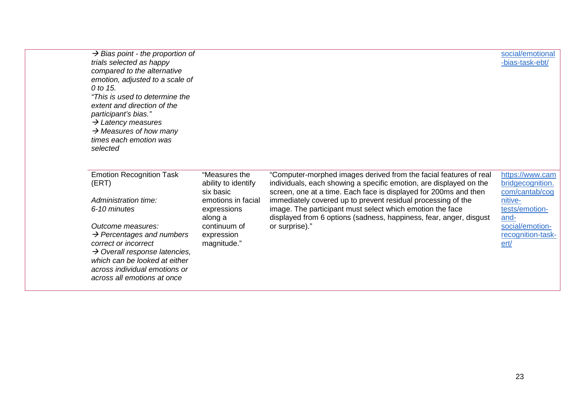| $\rightarrow$ Bias point - the proportion of<br>trials selected as happy<br>compared to the alternative<br>emotion, adjusted to a scale of<br>0 to 15.<br>"This is used to determine the<br>extent and direction of the<br>participant's bias."<br>$\rightarrow$ Latency measures<br>$\rightarrow$ Measures of how many<br>times each emotion was<br>selected |                                                   |                                                                                                                                                                                                             | social/emotional<br>-bias-task-ebt/                   |
|---------------------------------------------------------------------------------------------------------------------------------------------------------------------------------------------------------------------------------------------------------------------------------------------------------------------------------------------------------------|---------------------------------------------------|-------------------------------------------------------------------------------------------------------------------------------------------------------------------------------------------------------------|-------------------------------------------------------|
| <b>Emotion Recognition Task</b><br>(ERT)                                                                                                                                                                                                                                                                                                                      | "Measures the<br>ability to identify<br>six basic | "Computer-morphed images derived from the facial features of real<br>individuals, each showing a specific emotion, are displayed on the<br>screen, one at a time. Each face is displayed for 200ms and then | https://www.cam<br>bridgecognition.<br>com/cantab/cog |
| Administration time:<br>6-10 minutes                                                                                                                                                                                                                                                                                                                          | emotions in facial<br>expressions                 | immediately covered up to prevent residual processing of the<br>image. The participant must select which emotion the face                                                                                   | nitive-<br>tests/emotion-                             |
|                                                                                                                                                                                                                                                                                                                                                               | along a                                           | displayed from 6 options (sadness, happiness, fear, anger, disgust                                                                                                                                          | and-                                                  |
| Outcome measures:<br>$\rightarrow$ Percentages and numbers<br>correct or incorrect<br>$\rightarrow$ Overall response latencies,<br>which can be looked at either<br>across individual emotions or<br>across all emotions at once                                                                                                                              | continuum of<br>expression<br>magnitude."         | or surprise)."                                                                                                                                                                                              | social/emotion-<br>recognition-task-<br>ert/          |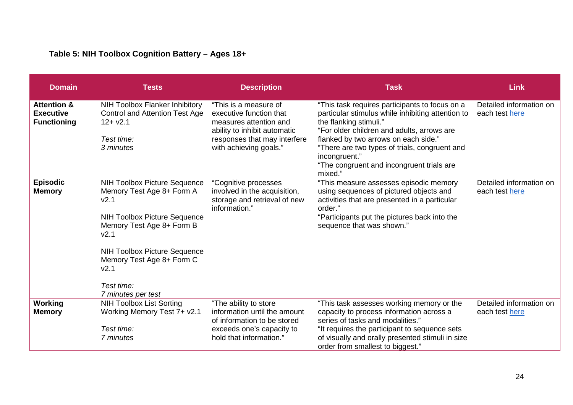# **Table 5: NIH Toolbox Cognition Battery – Ages 18+**

| <b>Domain</b>                                                    | <b>Tests</b>                                                                                                                                                                                                                                                                                             | <b>Description</b>                                                                                                                                                   | <b>Task</b>                                                                                                                                                                                                                                                                                                                                   | <b>Link</b>                               |
|------------------------------------------------------------------|----------------------------------------------------------------------------------------------------------------------------------------------------------------------------------------------------------------------------------------------------------------------------------------------------------|----------------------------------------------------------------------------------------------------------------------------------------------------------------------|-----------------------------------------------------------------------------------------------------------------------------------------------------------------------------------------------------------------------------------------------------------------------------------------------------------------------------------------------|-------------------------------------------|
| <b>Attention &amp;</b><br><b>Executive</b><br><b>Functioning</b> | NIH Toolbox Flanker Inhibitory<br><b>Control and Attention Test Age</b><br>$12 + v2.1$<br>Test time:<br>3 minutes                                                                                                                                                                                        | "This is a measure of<br>executive function that<br>measures attention and<br>ability to inhibit automatic<br>responses that may interfere<br>with achieving goals." | "This task requires participants to focus on a<br>particular stimulus while inhibiting attention to<br>the flanking stimuli."<br>"For older children and adults, arrows are<br>flanked by two arrows on each side."<br>"There are two types of trials, congruent and<br>incongruent."<br>"The congruent and incongruent trials are<br>mixed." | Detailed information on<br>each test here |
| <b>Episodic</b><br><b>Memory</b>                                 | <b>NIH Toolbox Picture Sequence</b><br>Memory Test Age 8+ Form A<br>V <sub>2.1</sub><br><b>NIH Toolbox Picture Sequence</b><br>Memory Test Age 8+ Form B<br>V <sub>2.1</sub><br><b>NIH Toolbox Picture Sequence</b><br>Memory Test Age 8+ Form C<br>V <sub>2.1</sub><br>Test time:<br>7 minutes per test | "Cognitive processes<br>involved in the acquisition,<br>storage and retrieval of new<br>information."                                                                | "This measure assesses episodic memory<br>using sequences of pictured objects and<br>activities that are presented in a particular<br>order."<br>"Participants put the pictures back into the<br>sequence that was shown."                                                                                                                    | Detailed information on<br>each test here |
| <b>Working</b><br><b>Memory</b>                                  | <b>NIH Toolbox List Sorting</b><br>Working Memory Test 7+ v2.1<br>Test time:<br>7 minutes                                                                                                                                                                                                                | "The ability to store<br>information until the amount<br>of information to be stored<br>exceeds one's capacity to<br>hold that information."                         | "This task assesses working memory or the<br>capacity to process information across a<br>series of tasks and modalities."<br>"It requires the participant to sequence sets<br>of visually and orally presented stimuli in size<br>order from smallest to biggest."                                                                            | Detailed information on<br>each test here |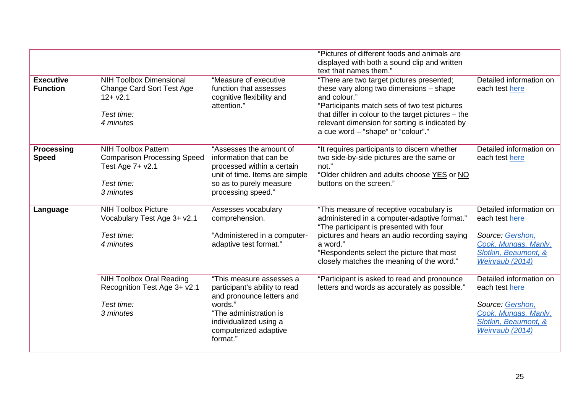|                                     |                                                                                                                 |                                                                                                                                                                                            | "Pictures of different foods and animals are<br>displayed with both a sound clip and written<br>text that names them."                                                                                                                                                                                |                                                                                                                                  |
|-------------------------------------|-----------------------------------------------------------------------------------------------------------------|--------------------------------------------------------------------------------------------------------------------------------------------------------------------------------------------|-------------------------------------------------------------------------------------------------------------------------------------------------------------------------------------------------------------------------------------------------------------------------------------------------------|----------------------------------------------------------------------------------------------------------------------------------|
| <b>Executive</b><br><b>Function</b> | <b>NIH Toolbox Dimensional</b><br><b>Change Card Sort Test Age</b><br>$12 + v2.1$<br>Test time:<br>4 minutes    | "Measure of executive<br>function that assesses<br>cognitive flexibility and<br>attention."                                                                                                | "There are two target pictures presented;<br>these vary along two dimensions - shape<br>and colour."<br>"Participants match sets of two test pictures<br>that differ in colour to the target pictures $-$ the<br>relevant dimension for sorting is indicated by<br>a cue word - "shape" or "colour"." | Detailed information on<br>each test here                                                                                        |
| <b>Processing</b><br><b>Speed</b>   | <b>NIH Toolbox Pattern</b><br><b>Comparison Processing Speed</b><br>Test Age 7+ v2.1<br>Test time:<br>3 minutes | "Assesses the amount of<br>information that can be<br>processed within a certain<br>unit of time. Items are simple<br>so as to purely measure<br>processing speed."                        | "It requires participants to discern whether<br>two side-by-side pictures are the same or<br>not."<br>"Older children and adults choose YES or NO<br>buttons on the screen."                                                                                                                          | Detailed information on<br>each test here                                                                                        |
| Language                            | <b>NIH Toolbox Picture</b><br>Vocabulary Test Age 3+ v2.1<br>Test time:<br>4 minutes                            | Assesses vocabulary<br>comprehension.<br>"Administered in a computer-<br>adaptive test format."                                                                                            | "This measure of receptive vocabulary is<br>administered in a computer-adaptive format."<br>"The participant is presented with four<br>pictures and hears an audio recording saying<br>a word."<br>"Respondents select the picture that most<br>closely matches the meaning of the word."             | Detailed information on<br>each test here<br>Source: Gershon,<br>Cook, Mungas, Manly,<br>Slotkin, Beaumont, &<br>Weinraub (2014) |
|                                     | <b>NIH Toolbox Oral Reading</b><br>Recognition Test Age 3+ v2.1<br>Test time:<br>3 minutes                      | "This measure assesses a<br>participant's ability to read<br>and pronounce letters and<br>words."<br>"The administration is<br>individualized using a<br>computerized adaptive<br>format." | "Participant is asked to read and pronounce<br>letters and words as accurately as possible."                                                                                                                                                                                                          | Detailed information on<br>each test here<br>Source: Gershon,<br>Cook, Mungas, Manly,<br>Slotkin, Beaumont, &<br>Weinraub (2014) |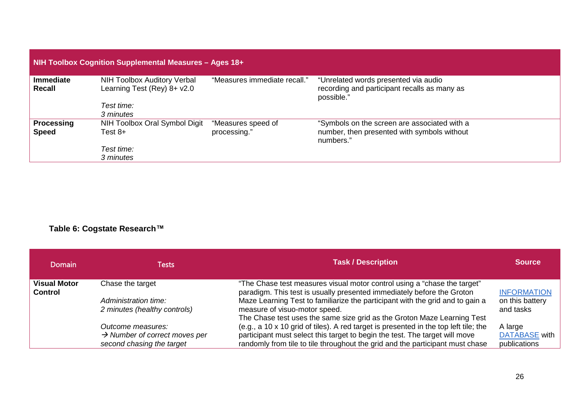| <b>NIH Toolbox Cognition Supplemental Measures - Ages 18+</b> |                                                                   |                              |                                                                                                    |  |
|---------------------------------------------------------------|-------------------------------------------------------------------|------------------------------|----------------------------------------------------------------------------------------------------|--|
| <b>Immediate</b><br>Recall                                    | <b>NIH Toolbox Auditory Verbal</b><br>Learning Test (Rey) 8+ v2.0 | "Measures immediate recall." | "Unrelated words presented via audio<br>recording and participant recalls as many as<br>possible." |  |
|                                                               | Test time:                                                        |                              |                                                                                                    |  |
|                                                               | 3 minutes                                                         |                              |                                                                                                    |  |
| <b>Processing</b>                                             | NIH Toolbox Oral Symbol Digit                                     | "Measures speed of           | "Symbols on the screen are associated with a                                                       |  |
| <b>Speed</b>                                                  | Test $8+$                                                         | processing."                 | number, then presented with symbols without<br>numbers."                                           |  |
|                                                               | Test time:                                                        |                              |                                                                                                    |  |
|                                                               | 3 minutes                                                         |                              |                                                                                                    |  |

## **Table 6: Cogstate Research™**

| <b>Domain</b>                         | <b>Tests</b>                                                                                | <b>Task / Description</b>                                                                                                                                                                                                                                                                                                                       | <b>Source</b>                                      |
|---------------------------------------|---------------------------------------------------------------------------------------------|-------------------------------------------------------------------------------------------------------------------------------------------------------------------------------------------------------------------------------------------------------------------------------------------------------------------------------------------------|----------------------------------------------------|
| <b>Visual Motor</b><br><b>Control</b> | Chase the target<br>Administration time:<br>2 minutes (healthy controls)                    | "The Chase test measures visual motor control using a "chase the target"<br>paradigm. This test is usually presented immediately before the Groton<br>Maze Learning Test to familiarize the participant with the grid and to gain a<br>measure of visuo-motor speed.<br>The Chase test uses the same size grid as the Groton Maze Learning Test | <b>INFORMATION</b><br>on this battery<br>and tasks |
|                                       | Outcome measures:<br>$\rightarrow$ Number of correct moves per<br>second chasing the target | (e.g., a 10 x 10 grid of tiles). A red target is presented in the top left tile; the<br>participant must select this target to begin the test. The target will move<br>randomly from tile to tile throughout the grid and the participant must chase                                                                                            | A large<br><b>DATABASE</b> with<br>publications    |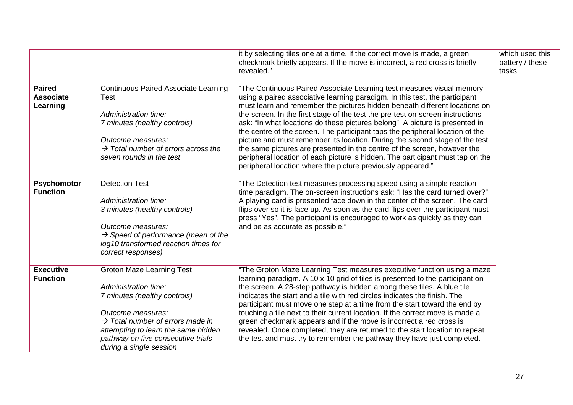|                                               |                                                                                                                                                                           | it by selecting tiles one at a time. If the correct move is made, a green<br>checkmark briefly appears. If the move is incorrect, a red cross is briefly<br>revealed."                                                                                                                                         | which used this<br>battery / these<br>tasks |
|-----------------------------------------------|---------------------------------------------------------------------------------------------------------------------------------------------------------------------------|----------------------------------------------------------------------------------------------------------------------------------------------------------------------------------------------------------------------------------------------------------------------------------------------------------------|---------------------------------------------|
| <b>Paired</b><br><b>Associate</b><br>Learning | <b>Continuous Paired Associate Learning</b><br><b>Test</b>                                                                                                                | "The Continuous Paired Associate Learning test measures visual memory<br>using a paired associative learning paradigm. In this test, the participant<br>must learn and remember the pictures hidden beneath different locations on                                                                             |                                             |
|                                               | Administration time:<br>7 minutes (healthy controls)                                                                                                                      | the screen. In the first stage of the test the pre-test on-screen instructions<br>ask: "In what locations do these pictures belong". A picture is presented in<br>the centre of the screen. The participant taps the peripheral location of the                                                                |                                             |
|                                               | Outcome measures:<br>$\rightarrow$ Total number of errors across the<br>seven rounds in the test                                                                          | picture and must remember its location. During the second stage of the test<br>the same pictures are presented in the centre of the screen, however the<br>peripheral location of each picture is hidden. The participant must tap on the<br>peripheral location where the picture previously appeared."       |                                             |
| <b>Psychomotor</b><br><b>Function</b>         | <b>Detection Test</b>                                                                                                                                                     | "The Detection test measures processing speed using a simple reaction<br>time paradigm. The on-screen instructions ask: "Has the card turned over?".                                                                                                                                                           |                                             |
|                                               | Administration time:<br>3 minutes (healthy controls)                                                                                                                      | A playing card is presented face down in the center of the screen. The card<br>flips over so it is face up. As soon as the card flips over the participant must<br>press "Yes". The participant is encouraged to work as quickly as they can                                                                   |                                             |
|                                               | Outcome measures:<br>$\rightarrow$ Speed of performance (mean of the<br>log10 transformed reaction times for<br>correct responses)                                        | and be as accurate as possible."                                                                                                                                                                                                                                                                               |                                             |
| <b>Executive</b><br><b>Function</b>           | <b>Groton Maze Learning Test</b>                                                                                                                                          | "The Groton Maze Learning Test measures executive function using a maze<br>learning paradigm. A 10 x 10 grid of tiles is presented to the participant on                                                                                                                                                       |                                             |
|                                               | Administration time:<br>7 minutes (healthy controls)                                                                                                                      | the screen. A 28-step pathway is hidden among these tiles. A blue tile<br>indicates the start and a tile with red circles indicates the finish. The<br>participant must move one step at a time from the start toward the end by                                                                               |                                             |
|                                               | Outcome measures:<br>$\rightarrow$ Total number of errors made in<br>attempting to learn the same hidden<br>pathway on five consecutive trials<br>during a single session | touching a tile next to their current location. If the correct move is made a<br>green checkmark appears and if the move is incorrect a red cross is<br>revealed. Once completed, they are returned to the start location to repeat<br>the test and must try to remember the pathway they have just completed. |                                             |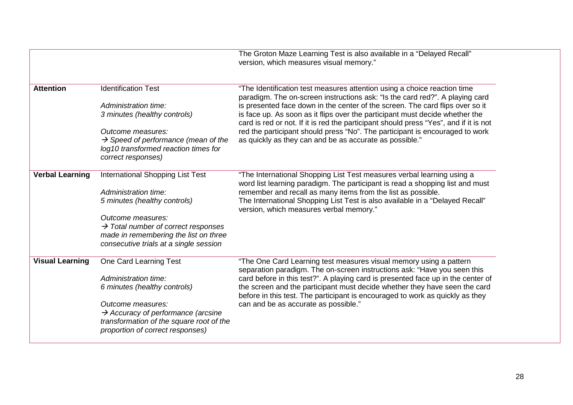|                        |                                                                                                                                                         | The Groton Maze Learning Test is also available in a "Delayed Recall"<br>version, which measures visual memory."                                                                        |
|------------------------|---------------------------------------------------------------------------------------------------------------------------------------------------------|-----------------------------------------------------------------------------------------------------------------------------------------------------------------------------------------|
| <b>Attention</b>       | <b>Identification Test</b>                                                                                                                              | "The Identification test measures attention using a choice reaction time<br>paradigm. The on-screen instructions ask: "Is the card red?". A playing card                                |
|                        | Administration time:<br>3 minutes (healthy controls)                                                                                                    | is presented face down in the center of the screen. The card flips over so it<br>is face up. As soon as it flips over the participant must decide whether the                           |
|                        | Outcome measures:                                                                                                                                       | card is red or not. If it is red the participant should press "Yes", and if it is not<br>red the participant should press "No". The participant is encouraged to work                   |
|                        | $\rightarrow$ Speed of performance (mean of the<br>log10 transformed reaction times for<br>correct responses)                                           | as quickly as they can and be as accurate as possible."                                                                                                                                 |
|                        |                                                                                                                                                         |                                                                                                                                                                                         |
| <b>Verbal Learning</b> | <b>International Shopping List Test</b>                                                                                                                 | "The International Shopping List Test measures verbal learning using a<br>word list learning paradigm. The participant is read a shopping list and must                                 |
|                        | Administration time:<br>5 minutes (healthy controls)                                                                                                    | remember and recall as many items from the list as possible.<br>The International Shopping List Test is also available in a "Delayed Recall"<br>version, which measures verbal memory." |
|                        | Outcome measures:<br>$\rightarrow$ Total number of correct responses<br>made in remembering the list on three<br>consecutive trials at a single session |                                                                                                                                                                                         |
| <b>Visual Learning</b> | One Card Learning Test                                                                                                                                  | "The One Card Learning test measures visual memory using a pattern<br>separation paradigm. The on-screen instructions ask: "Have you seen this                                          |
|                        | Administration time:                                                                                                                                    | card before in this test?". A playing card is presented face up in the center of                                                                                                        |
|                        | 6 minutes (healthy controls)                                                                                                                            | the screen and the participant must decide whether they have seen the card<br>before in this test. The participant is encouraged to work as quickly as they                             |
|                        | Outcome measures:<br>$\rightarrow$ Accuracy of performance (arcsine<br>transformation of the square root of the<br>proportion of correct responses)     | can and be as accurate as possible."                                                                                                                                                    |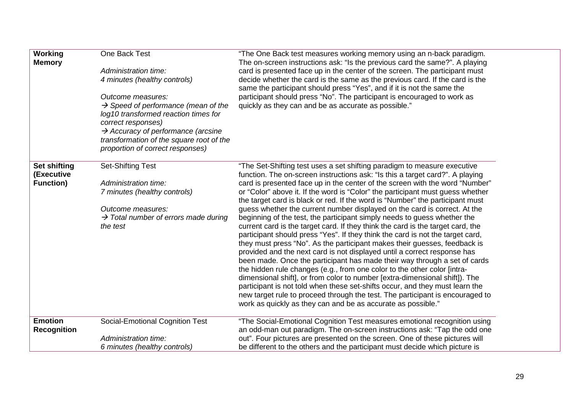| Working<br><b>Memory</b>                              | One Back Test<br>Administration time:<br>4 minutes (healthy controls)<br>Outcome measures:<br>$\rightarrow$ Speed of performance (mean of the<br>log10 transformed reaction times for<br>correct responses)<br>$\rightarrow$ Accuracy of performance (arcsine<br>transformation of the square root of the<br>proportion of correct responses) | "The One Back test measures working memory using an n-back paradigm.<br>The on-screen instructions ask: "Is the previous card the same?". A playing<br>card is presented face up in the center of the screen. The participant must<br>decide whether the card is the same as the previous card. If the card is the<br>same the participant should press "Yes", and if it is not the same the<br>participant should press "No". The participant is encouraged to work as<br>quickly as they can and be as accurate as possible."                                                                                                                                                                                                                                                                                                                                                                                                                                                                                                                                                                                                                                                                                                                                                                                                                                              |
|-------------------------------------------------------|-----------------------------------------------------------------------------------------------------------------------------------------------------------------------------------------------------------------------------------------------------------------------------------------------------------------------------------------------|------------------------------------------------------------------------------------------------------------------------------------------------------------------------------------------------------------------------------------------------------------------------------------------------------------------------------------------------------------------------------------------------------------------------------------------------------------------------------------------------------------------------------------------------------------------------------------------------------------------------------------------------------------------------------------------------------------------------------------------------------------------------------------------------------------------------------------------------------------------------------------------------------------------------------------------------------------------------------------------------------------------------------------------------------------------------------------------------------------------------------------------------------------------------------------------------------------------------------------------------------------------------------------------------------------------------------------------------------------------------------|
| <b>Set shifting</b><br>(Executive<br><b>Function)</b> | <b>Set-Shifting Test</b><br>Administration time:<br>7 minutes (healthy controls)<br>Outcome measures:<br>$\rightarrow$ Total number of errors made during<br>the test                                                                                                                                                                         | "The Set-Shifting test uses a set shifting paradigm to measure executive<br>function. The on-screen instructions ask: "Is this a target card?". A playing<br>card is presented face up in the center of the screen with the word "Number"<br>or "Color" above it. If the word is "Color" the participant must guess whether<br>the target card is black or red. If the word is "Number" the participant must<br>guess whether the current number displayed on the card is correct. At the<br>beginning of the test, the participant simply needs to guess whether the<br>current card is the target card. If they think the card is the target card, the<br>participant should press "Yes". If they think the card is not the target card,<br>they must press "No". As the participant makes their guesses, feedback is<br>provided and the next card is not displayed until a correct response has<br>been made. Once the participant has made their way through a set of cards<br>the hidden rule changes (e.g., from one color to the other color [intra-<br>dimensional shift], or from color to number [extra-dimensional shift]). The<br>participant is not told when these set-shifts occur, and they must learn the<br>new target rule to proceed through the test. The participant is encouraged to<br>work as quickly as they can and be as accurate as possible." |
| <b>Emotion</b><br><b>Recognition</b>                  | <b>Social-Emotional Cognition Test</b><br>Administration time:<br>6 minutes (healthy controls)                                                                                                                                                                                                                                                | "The Social-Emotional Cognition Test measures emotional recognition using<br>an odd-man out paradigm. The on-screen instructions ask: "Tap the odd one<br>out". Four pictures are presented on the screen. One of these pictures will<br>be different to the others and the participant must decide which picture is                                                                                                                                                                                                                                                                                                                                                                                                                                                                                                                                                                                                                                                                                                                                                                                                                                                                                                                                                                                                                                                         |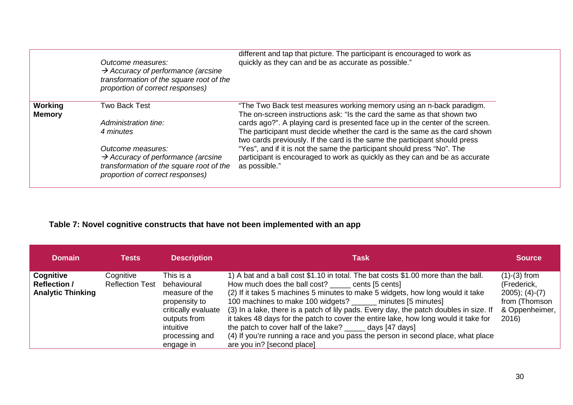|                          | Outcome measures:<br>$\rightarrow$ Accuracy of performance (arcsine<br>transformation of the square root of the<br>proportion of correct responses) | different and tap that picture. The participant is encouraged to work as<br>quickly as they can and be as accurate as possible."                                                                                                          |
|--------------------------|-----------------------------------------------------------------------------------------------------------------------------------------------------|-------------------------------------------------------------------------------------------------------------------------------------------------------------------------------------------------------------------------------------------|
| Working<br><b>Memory</b> | Two Back Test                                                                                                                                       | "The Two Back test measures working memory using an n-back paradigm.<br>The on-screen instructions ask: "Is the card the same as that shown two                                                                                           |
|                          | Administration tine:<br>4 minutes                                                                                                                   | cards ago?". A playing card is presented face up in the center of the screen.<br>The participant must decide whether the card is the same as the card shown<br>two cards previously. If the card is the same the participant should press |
|                          | Outcome measures:<br>$\rightarrow$ Accuracy of performance (arcsine<br>transformation of the square root of the<br>proportion of correct responses) | "Yes", and if it is not the same the participant should press "No". The<br>participant is encouraged to work as quickly as they can and be as accurate<br>as possible."                                                                   |

## **Table 7: Novel cognitive constructs that have not been implemented with an app**

| <b>Domain</b>                                                | <b>Tests</b>                        | <b>Description</b>                                                                                                                             | <b>Task</b>                                                                                                                                                                                                                                                                                                                                                                                                                                                                                                                                                                                                                                                 | <b>Source</b>                                                                                   |
|--------------------------------------------------------------|-------------------------------------|------------------------------------------------------------------------------------------------------------------------------------------------|-------------------------------------------------------------------------------------------------------------------------------------------------------------------------------------------------------------------------------------------------------------------------------------------------------------------------------------------------------------------------------------------------------------------------------------------------------------------------------------------------------------------------------------------------------------------------------------------------------------------------------------------------------------|-------------------------------------------------------------------------------------------------|
| Cognitive<br><b>Reflection /</b><br><b>Analytic Thinking</b> | Cognitive<br><b>Reflection Test</b> | This is a<br>behavioural<br>measure of the<br>propensity to<br>critically evaluate<br>outputs from<br>intuitive<br>processing and<br>engage in | 1) A bat and a ball cost \$1.10 in total. The bat costs \$1.00 more than the ball.<br>How much does the ball cost? _____ cents [5 cents]<br>(2) If it takes 5 machines 5 minutes to make 5 widgets, how long would it take<br>100 machines to make 100 widgets? ______ minutes [5 minutes]<br>(3) In a lake, there is a patch of lily pads. Every day, the patch doubles in size. If<br>it takes 48 days for the patch to cover the entire lake, how long would it take for<br>the patch to cover half of the lake? ______ days [47 days]<br>(4) If you're running a race and you pass the person in second place, what place<br>are you in? [second place] | $(1)-(3)$ from<br>(Frederick,<br>$2005$ ; $(4)-(7)$<br>from (Thomson<br>& Oppenheimer,<br>2016) |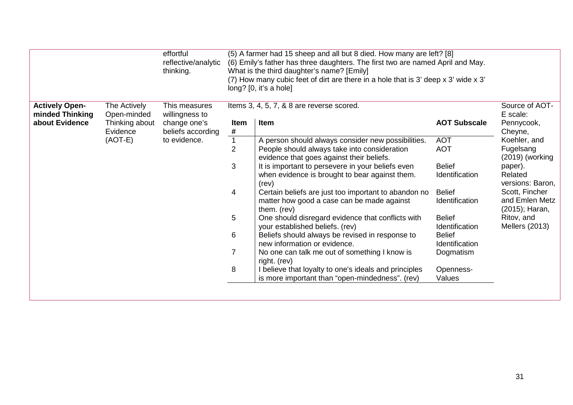| <b>Actively Open-</b><br>The Actively<br>This measures<br>Items 3, 4, 5, 7, & 8 are reverse scored.<br>minded Thinking<br>E scale:<br>Open-minded<br>willingness to<br>Item<br>about Evidence<br><b>AOT Subscale</b><br>Thinking about<br>change one's<br><b>Item</b><br>Pennycook,<br>#<br>Evidence<br>beliefs according<br>Cheyne,<br>$(AOT-E)$<br>to evidence.<br>A person should always consider new possibilities.<br><b>AOT</b><br>Koehler, and<br>$\overline{2}$<br>Fugelsang<br>People should always take into consideration<br><b>AOT</b> | Source of AOT-                   |
|----------------------------------------------------------------------------------------------------------------------------------------------------------------------------------------------------------------------------------------------------------------------------------------------------------------------------------------------------------------------------------------------------------------------------------------------------------------------------------------------------------------------------------------------------|----------------------------------|
|                                                                                                                                                                                                                                                                                                                                                                                                                                                                                                                                                    |                                  |
|                                                                                                                                                                                                                                                                                                                                                                                                                                                                                                                                                    |                                  |
|                                                                                                                                                                                                                                                                                                                                                                                                                                                                                                                                                    |                                  |
| evidence that goes against their beliefs.                                                                                                                                                                                                                                                                                                                                                                                                                                                                                                          | $(2019)$ (working                |
| 3<br>It is important to persevere in your beliefs even<br><b>Belief</b><br>paper).<br>Related<br>Identification<br>when evidence is brought to bear against them.<br>(rev)                                                                                                                                                                                                                                                                                                                                                                         | versions: Baron,                 |
| Scott, Fincher<br>4<br>Certain beliefs are just too important to abandon no<br><b>Belief</b><br>Identification<br>matter how good a case can be made against<br>them. (rev)                                                                                                                                                                                                                                                                                                                                                                        | and Emlen Metz<br>(2015); Haran, |
| 5<br>Ritov, and<br>One should disregard evidence that conflicts with<br><b>Belief</b><br>Mellers (2013)<br>your established beliefs. (rev)<br><b>Identification</b>                                                                                                                                                                                                                                                                                                                                                                                |                                  |
| 6<br>Beliefs should always be revised in response to<br><b>Belief</b><br>new information or evidence.<br>Identification                                                                                                                                                                                                                                                                                                                                                                                                                            |                                  |
| $\overline{7}$<br>No one can talk me out of something I know is<br>Dogmatism<br>right. (rev)                                                                                                                                                                                                                                                                                                                                                                                                                                                       |                                  |
| 8<br>I believe that loyalty to one's ideals and principles<br>Openness-<br>Values<br>is more important than "open-mindedness". (rev)                                                                                                                                                                                                                                                                                                                                                                                                               |                                  |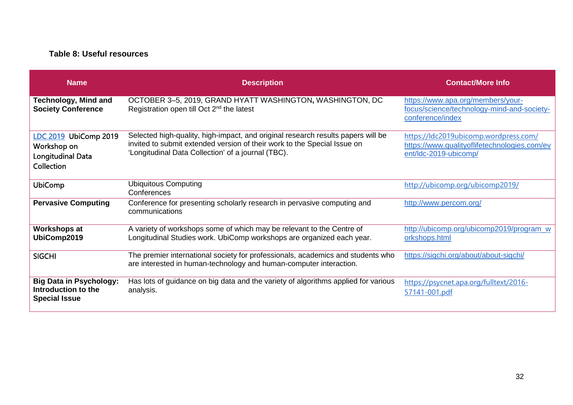#### **Table 8: Useful resources**

| <b>Name</b>                                                                           | <b>Description</b>                                                                                                                                                                                                 | <b>Contact/More Info</b>                                                                                       |
|---------------------------------------------------------------------------------------|--------------------------------------------------------------------------------------------------------------------------------------------------------------------------------------------------------------------|----------------------------------------------------------------------------------------------------------------|
| <b>Technology, Mind and</b><br><b>Society Conference</b>                              | OCTOBER 3-5, 2019, GRAND HYATT WASHINGTON, WASHINGTON, DC<br>Registration open till Oct 2 <sup>nd</sup> the latest                                                                                                 | https://www.apa.org/members/your-<br>focus/science/technology-mind-and-society-<br>conference/index            |
| LDC 2019 UbiComp 2019<br>Workshop on<br><b>Longitudinal Data</b><br><b>Collection</b> | Selected high-quality, high-impact, and original research results papers will be<br>invited to submit extended version of their work to the Special Issue on<br>'Longitudinal Data Collection' of a journal (TBC). | https://ldc2019ubicomp.wordpress.com/<br>https://www.qualityoflifetechnologies.com/ev<br>ent/Idc-2019-ubicomp/ |
| <b>UbiComp</b>                                                                        | <b>Ubiquitous Computing</b><br>Conferences                                                                                                                                                                         | http://ubicomp.org/ubicomp2019/                                                                                |
| <b>Pervasive Computing</b>                                                            | Conference for presenting scholarly research in pervasive computing and<br>communications                                                                                                                          | http://www.percom.org/                                                                                         |
| <b>Workshops at</b><br>UbiComp2019                                                    | A variety of workshops some of which may be relevant to the Centre of<br>Longitudinal Studies work. UbiComp workshops are organized each year.                                                                     | http://ubicomp.org/ubicomp2019/program_w<br>orkshops.html                                                      |
| <b>SIGCHI</b>                                                                         | The premier international society for professionals, academics and students who<br>are interested in human-technology and human-computer interaction.                                                              | https://sigchi.org/about/about-sigchi/                                                                         |
| <b>Big Data in Psychology:</b><br>Introduction to the<br><b>Special Issue</b>         | Has lots of guidance on big data and the variety of algorithms applied for various<br>analysis.                                                                                                                    | https://psycnet.apa.org/fulltext/2016-<br>57141-001.pdf                                                        |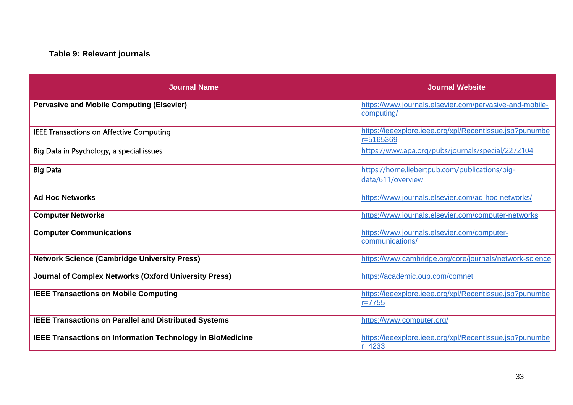## **Table 9: Relevant journals**

| <b>Journal Name</b>                                          | <b>Journal Website</b>                                                   |
|--------------------------------------------------------------|--------------------------------------------------------------------------|
| <b>Pervasive and Mobile Computing (Elsevier)</b>             | https://www.journals.elsevier.com/pervasive-and-mobile-<br>computing/    |
| <b>IEEE Transactions on Affective Computing</b>              | https://ieeexplore.ieee.org/xpl/RecentIssue.jsp?punumbe<br>$r = 5165369$ |
| Big Data in Psychology, a special issues                     | https://www.apa.org/pubs/journals/special/2272104                        |
| <b>Big Data</b>                                              | https://home.liebertpub.com/publications/big-<br>data/611/overview       |
| <b>Ad Hoc Networks</b>                                       | https://www.journals.elsevier.com/ad-hoc-networks/                       |
| <b>Computer Networks</b>                                     | https://www.journals.elsevier.com/computer-networks                      |
| <b>Computer Communications</b>                               | https://www.journals.elsevier.com/computer-<br>communications/           |
| <b>Network Science (Cambridge University Press)</b>          | https://www.cambridge.org/core/journals/network-science                  |
| Journal of Complex Networks (Oxford University Press)        | https://academic.oup.com/comnet                                          |
| <b>IEEE Transactions on Mobile Computing</b>                 | https://ieeexplore.ieee.org/xpl/RecentIssue.jsp?punumbe<br>$r = 7755$    |
| <b>IEEE Transactions on Parallel and Distributed Systems</b> | https://www.computer.org/                                                |
| IEEE Transactions on Information Technology in BioMedicine   | https://ieeexplore.ieee.org/xpl/RecentIssue.jsp?punumbe<br>$r = 4233$    |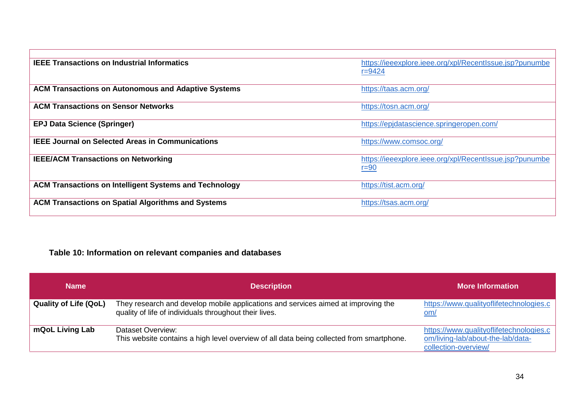| <b>IEEE Transactions on Industrial Informatics</b>            | https://ieeexplore.ieee.org/xpl/RecentIssue.jsp?punumbe<br>$r = 9424$ |
|---------------------------------------------------------------|-----------------------------------------------------------------------|
| <b>ACM Transactions on Autonomous and Adaptive Systems</b>    | https://taas.acm.org/                                                 |
| <b>ACM Transactions on Sensor Networks</b>                    | https://tosn.acm.org/                                                 |
| <b>EPJ Data Science (Springer)</b>                            | https://epjdatascience.springeropen.com/                              |
| <b>IEEE Journal on Selected Areas in Communications</b>       | https://www.comsoc.org/                                               |
| <b>IEEE/ACM Transactions on Networking</b>                    | https://ieeexplore.ieee.org/xpl/RecentIssue.jsp?punumbe<br>$r = 90$   |
| <b>ACM Transactions on Intelligent Systems and Technology</b> | https://tist.acm.org/                                                 |
| <b>ACM Transactions on Spatial Algorithms and Systems</b>     | https://tsas.acm.org/                                                 |

## **Table 10: Information on relevant companies and databases**

| <b>Name</b>                  | <b>Description</b>                                                                                                                          | <b>More Information</b>                                                                              |
|------------------------------|---------------------------------------------------------------------------------------------------------------------------------------------|------------------------------------------------------------------------------------------------------|
| <b>Quality of Life (QoL)</b> | They research and develop mobile applications and services aimed at improving the<br>quality of life of individuals throughout their lives. | https://www.qualityoflifetechnologies.c<br>om/                                                       |
| mQoL Living Lab              | Dataset Overview:<br>This website contains a high level overview of all data being collected from smartphone.                               | https://www.qualityoflifetechnologies.c<br>om/living-lab/about-the-lab/data-<br>collection-overview/ |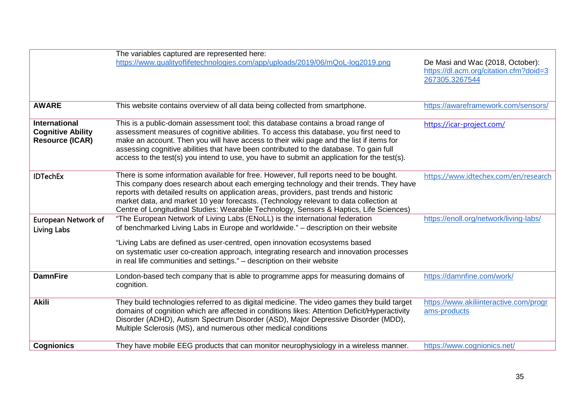|                                                                            | The variables captured are represented here:                                                                                                                                                                                                                                                                                                                                                                                                                   |                                                                                              |
|----------------------------------------------------------------------------|----------------------------------------------------------------------------------------------------------------------------------------------------------------------------------------------------------------------------------------------------------------------------------------------------------------------------------------------------------------------------------------------------------------------------------------------------------------|----------------------------------------------------------------------------------------------|
|                                                                            | https://www.qualityoflifetechnologies.com/app/uploads/2019/06/mQoL-log2019.png                                                                                                                                                                                                                                                                                                                                                                                 | De Masi and Wac (2018, October):<br>https://dl.acm.org/citation.cfm?doid=3<br>267305.3267544 |
| <b>AWARE</b>                                                               | This website contains overview of all data being collected from smartphone.                                                                                                                                                                                                                                                                                                                                                                                    | https://awareframework.com/sensors/                                                          |
| <b>International</b><br><b>Cognitive Ability</b><br><b>Resource (ICAR)</b> | This is a public-domain assessment tool; this database contains a broad range of<br>assessment measures of cognitive abilities. To access this database, you first need to<br>make an account. Then you will have access to their wiki page and the list if items for<br>assessing cognitive abilities that have been contributed to the database. To gain full<br>access to the test(s) you intend to use, you have to submit an application for the test(s). | https://icar-project.com/                                                                    |
| <b>IDTechEx</b>                                                            | There is some information available for free. However, full reports need to be bought.<br>This company does research about each emerging technology and their trends. They have<br>reports with detailed results on application areas, providers, past trends and historic<br>market data, and market 10 year forecasts. (Technology relevant to data collection at<br>Centre of Longitudinal Studies: Wearable Technology, Sensors & Haptics, Life Sciences)  | https://www.idtechex.com/en/research                                                         |
| <b>European Network of</b><br><b>Living Labs</b>                           | "The European Network of Living Labs (ENoLL) is the international federation<br>of benchmarked Living Labs in Europe and worldwide." - description on their website<br>"Living Labs are defined as user-centred, open innovation ecosystems based<br>on systematic user co-creation approach, integrating research and innovation processes                                                                                                                    | https://enoll.org/network/living-labs/                                                       |
|                                                                            | in real life communities and settings." – description on their website                                                                                                                                                                                                                                                                                                                                                                                         |                                                                                              |
| <b>DamnFire</b>                                                            | London-based tech company that is able to programme apps for measuring domains of<br>cognition.                                                                                                                                                                                                                                                                                                                                                                | https://damnfine.com/work/                                                                   |
| <b>Akili</b>                                                               | They build technologies referred to as digital medicine. The video games they build target<br>domains of cognition which are affected in conditions likes: Attention Deficit/Hyperactivity<br>Disorder (ADHD), Autism Spectrum Disorder (ASD), Major Depressive Disorder (MDD),<br>Multiple Sclerosis (MS), and numerous other medical conditions                                                                                                              | https://www.akiliinteractive.com/progr<br>ams-products                                       |
| <b>Cognionics</b>                                                          | They have mobile EEG products that can monitor neurophysiology in a wireless manner.                                                                                                                                                                                                                                                                                                                                                                           | https://www.cognionics.net/                                                                  |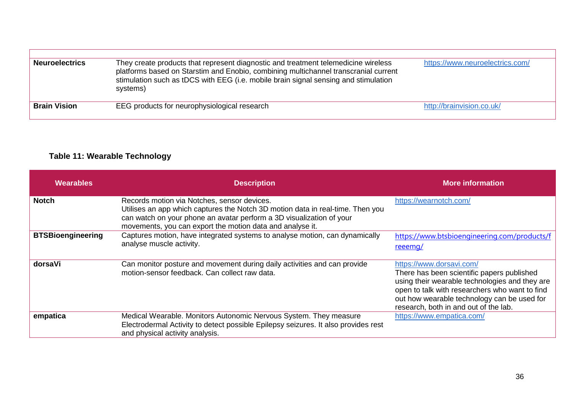| <b>Neuroelectrics</b> | They create products that represent diagnostic and treatment telemedicine wireless<br>platforms based on Starstim and Enobio, combining multichannel transcranial current<br>stimulation such as tDCS with EEG (i.e. mobile brain signal sensing and stimulation<br>systems) | https://www.neuroelectrics.com/ |
|-----------------------|------------------------------------------------------------------------------------------------------------------------------------------------------------------------------------------------------------------------------------------------------------------------------|---------------------------------|
| <b>Brain Vision</b>   | EEG products for neurophysiological research                                                                                                                                                                                                                                 | http://brainvision.co.uk/       |

#### **Table 11: Wearable Technology**

| <b>Wearables</b>         | <b>Description</b>                                                                                                                                                                                                                                                 | <b>More information</b>                                                                                                                                                                                                                                            |
|--------------------------|--------------------------------------------------------------------------------------------------------------------------------------------------------------------------------------------------------------------------------------------------------------------|--------------------------------------------------------------------------------------------------------------------------------------------------------------------------------------------------------------------------------------------------------------------|
| <b>Notch</b>             | Records motion via Notches, sensor devices.<br>Utilises an app which captures the Notch 3D motion data in real-time. Then you<br>can watch on your phone an avatar perform a 3D visualization of your<br>movements, you can export the motion data and analyse it. | https://wearnotch.com/                                                                                                                                                                                                                                             |
| <b>BTSBioengineering</b> | Captures motion, have integrated systems to analyse motion, can dynamically<br>analyse muscle activity.                                                                                                                                                            | https://www.btsbioengineering.com/products/f<br>reeemg/                                                                                                                                                                                                            |
| dorsaVi                  | Can monitor posture and movement during daily activities and can provide<br>motion-sensor feedback. Can collect raw data.                                                                                                                                          | https://www.dorsavi.com/<br>There has been scientific papers published<br>using their wearable technologies and they are<br>open to talk with researchers who want to find<br>out how wearable technology can be used for<br>research, both in and out of the lab. |
| empatica                 | Medical Wearable. Monitors Autonomic Nervous System. They measure<br>Electrodermal Activity to detect possible Epilepsy seizures. It also provides rest<br>and physical activity analysis.                                                                         | https://www.empatica.com/                                                                                                                                                                                                                                          |